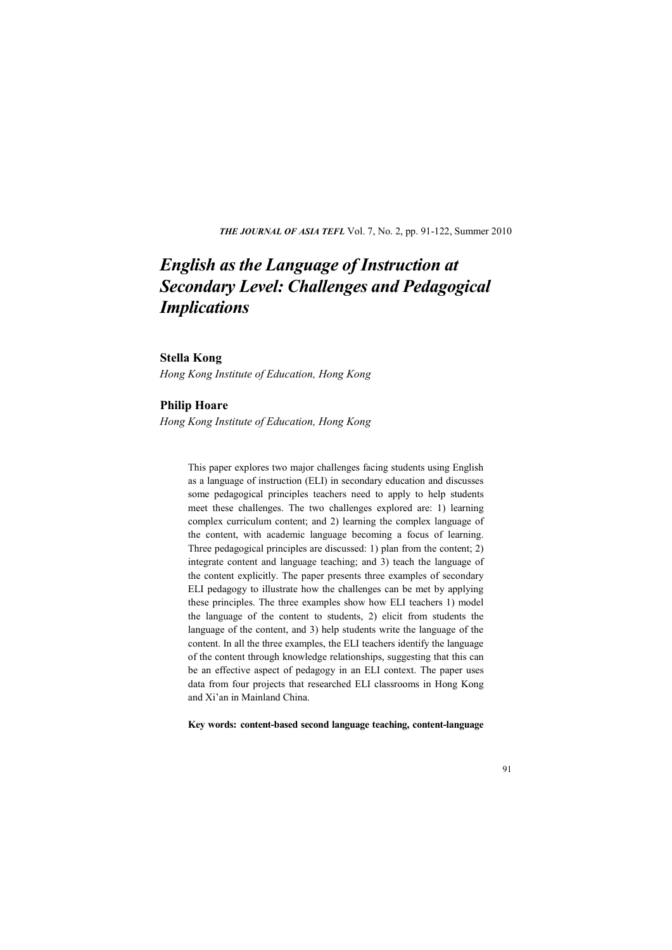**THE JOURNAL OF ASIA TEFL Vol. 7, No. 2, pp. 91-122, Summer 2010** 

# *English as the Language of Instruction at Secondary Level: Challenges and Pedagogical Implications*

## **Stella Kong**

*Hong Kong Institute of Education, Hong Kong* 

## **Philip Hoare**

*Hong Kong Institute of Education, Hong Kong* 

This paper explores two major challenges facing students using English as a language of instruction (ELI) in secondary education and discusses some pedagogical principles teachers need to apply to help students meet these challenges. The two challenges explored are: 1) learning complex curriculum content; and 2) learning the complex language of the content, with academic language becoming a focus of learning. Three pedagogical principles are discussed: 1) plan from the content; 2) integrate content and language teaching; and 3) teach the language of the content explicitly. The paper presents three examples of secondary ELI pedagogy to illustrate how the challenges can be met by applying these principles. The three examples show how ELI teachers 1) model the language of the content to students, 2) elicit from students the language of the content, and 3) help students write the language of the content. In all the three examples, the ELI teachers identify the language of the content through knowledge relationships, suggesting that this can be an effective aspect of pedagogy in an ELI context. The paper uses data from four projects that researched ELI classrooms in Hong Kong and Xi'an in Mainland China.

**Key words: content-based second language teaching, content-language**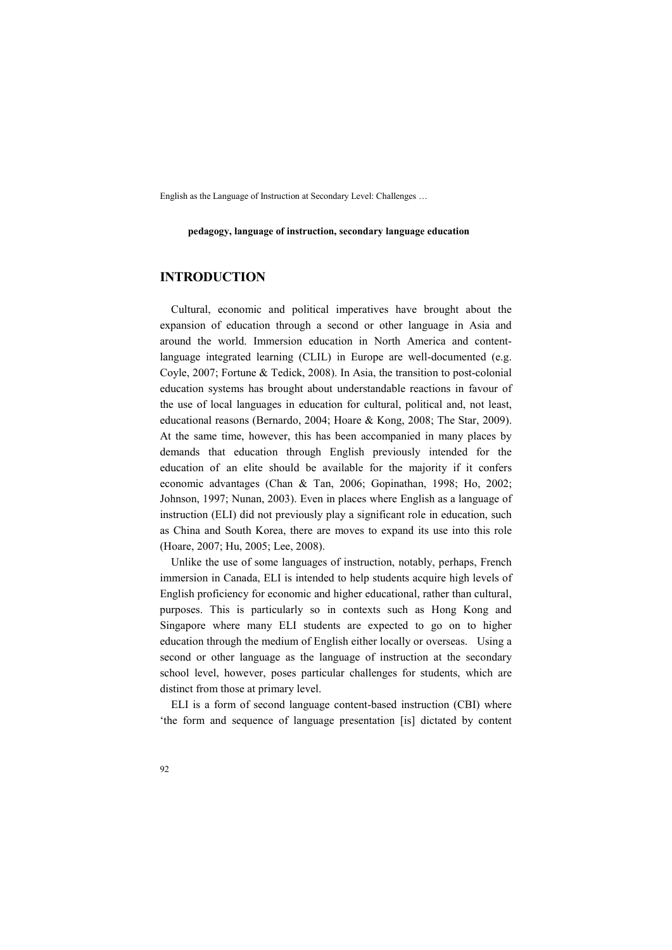#### **pedagogy, language of instruction, secondary language education**

# **INTRODUCTION**

Cultural, economic and political imperatives have brought about the expansion of education through a second or other language in Asia and around the world. Immersion education in North America and contentlanguage integrated learning (CLIL) in Europe are well-documented (e.g. Coyle, 2007; Fortune & Tedick, 2008). In Asia, the transition to post-colonial education systems has brought about understandable reactions in favour of the use of local languages in education for cultural, political and, not least, educational reasons (Bernardo, 2004; Hoare & Kong, 2008; The Star, 2009). At the same time, however, this has been accompanied in many places by demands that education through English previously intended for the education of an elite should be available for the majority if it confers economic advantages (Chan & Tan, 2006; Gopinathan, 1998; Ho, 2002; Johnson, 1997; Nunan, 2003). Even in places where English as a language of instruction (ELI) did not previously play a significant role in education, such as China and South Korea, there are moves to expand its use into this role (Hoare, 2007; Hu, 2005; Lee, 2008).

Unlike the use of some languages of instruction, notably, perhaps, French immersion in Canada, ELI is intended to help students acquire high levels of English proficiency for economic and higher educational, rather than cultural, purposes. This is particularly so in contexts such as Hong Kong and Singapore where many ELI students are expected to go on to higher education through the medium of English either locally or overseas. Using a second or other language as the language of instruction at the secondary school level, however, poses particular challenges for students, which are distinct from those at primary level.

ELI is a form of second language content-based instruction (CBI) where 'the form and sequence of language presentation [is] dictated by content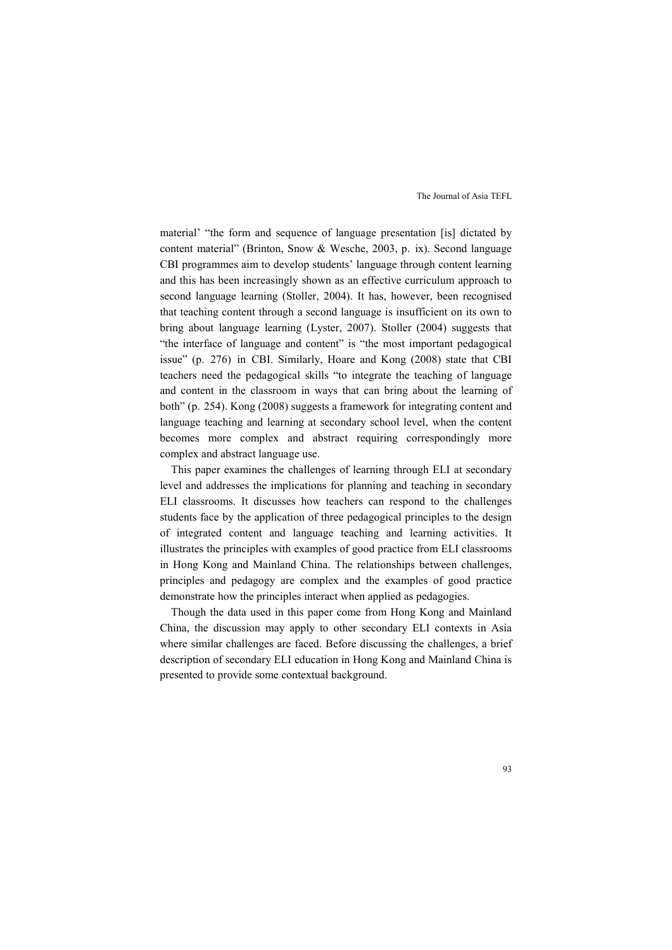material' "the form and sequence of language presentation [is] dictated by content material" (Brinton, Snow & Wesche, 2003, p. ix). Second language CBI programmes aim to develop students' language through content learning and this has been increasingly shown as an effective curriculum approach to second language learning (Stoller, 2004). It has, however, been recognised that teaching content through a second language is insufficient on its own to bring about language learning (Lyster, 2007). Stoller (2004) suggests that "the interface of language and content" is "the most important pedagogical issue" (p. 276) in CBI. Similarly, Hoare and Kong (2008) state that CBI teachers need the pedagogical skills "to integrate the teaching of language and content in the classroom in ways that can bring about the learning of both" (p. 254). Kong (2008) suggests a framework for integrating content and language teaching and learning at secondary school level, when the content becomes more complex and abstract requiring correspondingly more complex and abstract language use.

This paper examines the challenges of learning through ELI at secondary level and addresses the implications for planning and teaching in secondary ELI classrooms. It discusses how teachers can respond to the challenges students face by the application of three pedagogical principles to the design of integrated content and language teaching and learning activities. It illustrates the principles with examples of good practice from ELI classrooms in Hong Kong and Mainland China. The relationships between challenges, principles and pedagogy are complex and the examples of good practice demonstrate how the principles interact when applied as pedagogies.

Though the data used in this paper come from Hong Kong and Mainland China, the discussion may apply to other secondary ELI contexts in Asia where similar challenges are faced. Before discussing the challenges, a brief description of secondary ELI education in Hong Kong and Mainland China is presented to provide some contextual background.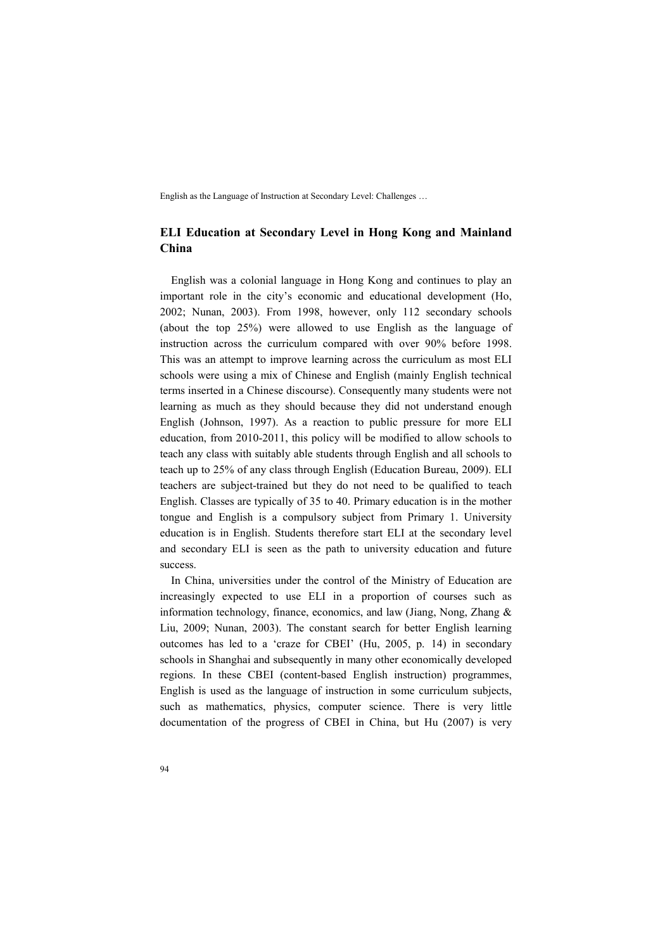# **ELI Education at Secondary Level in Hong Kong and Mainland China**

English was a colonial language in Hong Kong and continues to play an important role in the city's economic and educational development (Ho, 2002; Nunan, 2003). From 1998, however, only 112 secondary schools (about the top 25%) were allowed to use English as the language of instruction across the curriculum compared with over 90% before 1998. This was an attempt to improve learning across the curriculum as most ELI schools were using a mix of Chinese and English (mainly English technical terms inserted in a Chinese discourse). Consequently many students were not learning as much as they should because they did not understand enough English (Johnson, 1997). As a reaction to public pressure for more ELI education, from 2010-2011, this policy will be modified to allow schools to teach any class with suitably able students through English and all schools to teach up to 25% of any class through English (Education Bureau, 2009). ELI teachers are subject-trained but they do not need to be qualified to teach English. Classes are typically of 35 to 40. Primary education is in the mother tongue and English is a compulsory subject from Primary 1. University education is in English. Students therefore start ELI at the secondary level and secondary ELI is seen as the path to university education and future success.

In China, universities under the control of the Ministry of Education are increasingly expected to use ELI in a proportion of courses such as information technology, finance, economics, and law (Jiang, Nong, Zhang & Liu, 2009; Nunan, 2003). The constant search for better English learning outcomes has led to a 'craze for CBEI' (Hu, 2005, p. 14) in secondary schools in Shanghai and subsequently in many other economically developed regions. In these CBEI (content-based English instruction) programmes, English is used as the language of instruction in some curriculum subjects, such as mathematics, physics, computer science. There is very little documentation of the progress of CBEI in China, but Hu (2007) is very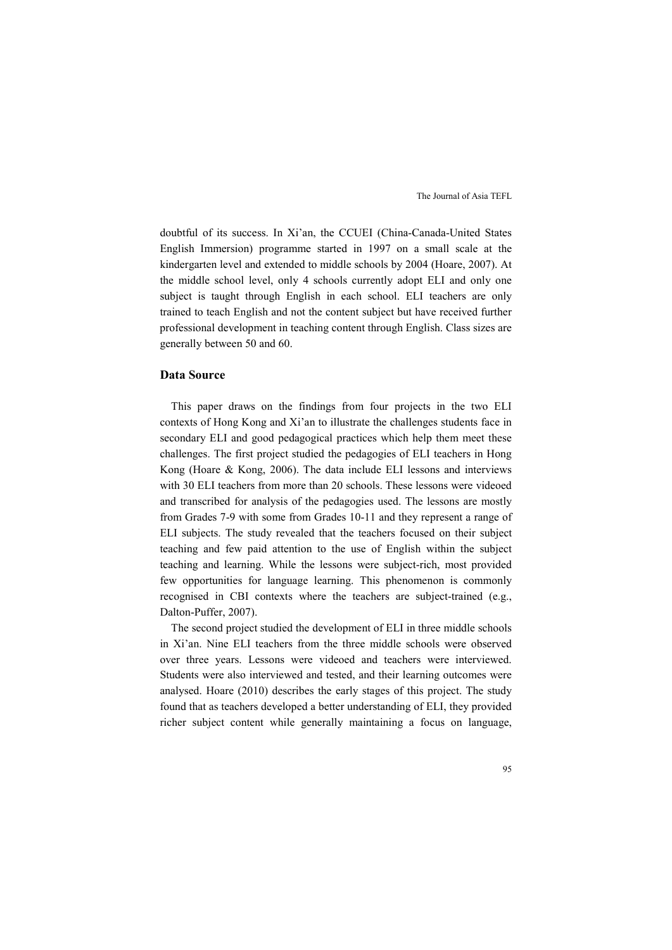doubtful of its success. In Xi'an, the CCUEI (China-Canada-United States English Immersion) programme started in 1997 on a small scale at the kindergarten level and extended to middle schools by 2004 (Hoare, 2007). At the middle school level, only 4 schools currently adopt ELI and only one subject is taught through English in each school. ELI teachers are only trained to teach English and not the content subject but have received further professional development in teaching content through English. Class sizes are generally between 50 and 60.

### **Data Source**

This paper draws on the findings from four projects in the two ELI contexts of Hong Kong and Xi'an to illustrate the challenges students face in secondary ELI and good pedagogical practices which help them meet these challenges. The first project studied the pedagogies of ELI teachers in Hong Kong (Hoare & Kong, 2006). The data include ELI lessons and interviews with 30 ELI teachers from more than 20 schools. These lessons were videoed and transcribed for analysis of the pedagogies used. The lessons are mostly from Grades 7-9 with some from Grades 10-11 and they represent a range of ELI subjects. The study revealed that the teachers focused on their subject teaching and few paid attention to the use of English within the subject teaching and learning. While the lessons were subject-rich, most provided few opportunities for language learning. This phenomenon is commonly recognised in CBI contexts where the teachers are subject-trained (e.g., Dalton-Puffer, 2007).

The second project studied the development of ELI in three middle schools in Xi'an. Nine ELI teachers from the three middle schools were observed over three years. Lessons were videoed and teachers were interviewed. Students were also interviewed and tested, and their learning outcomes were analysed. Hoare (2010) describes the early stages of this project. The study found that as teachers developed a better understanding of ELI, they provided richer subject content while generally maintaining a focus on language,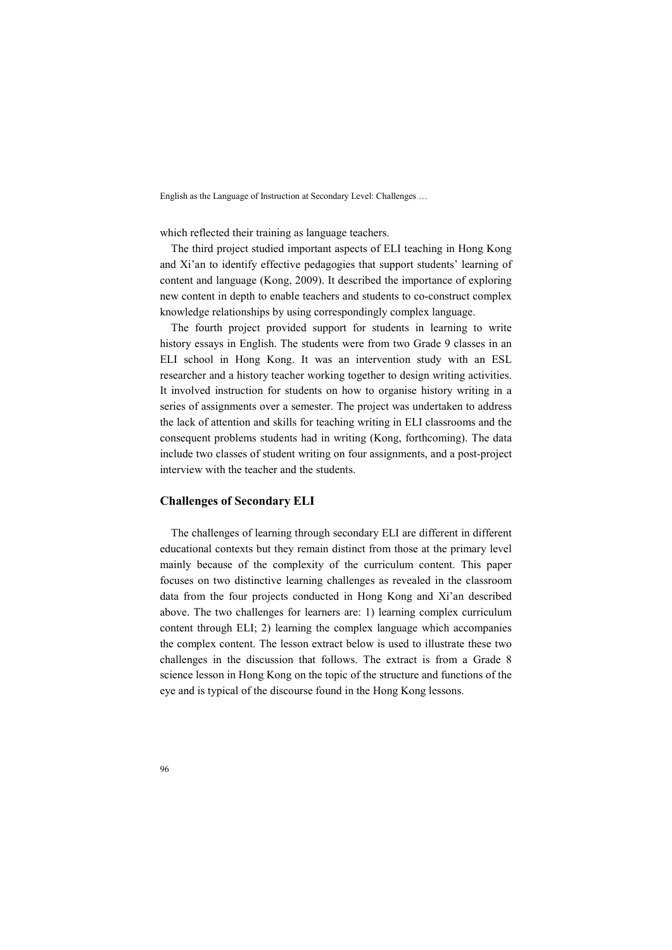which reflected their training as language teachers.

The third project studied important aspects of ELI teaching in Hong Kong and Xi'an to identify effective pedagogies that support students' learning of content and language (Kong, 2009). It described the importance of exploring new content in depth to enable teachers and students to co-construct complex knowledge relationships by using correspondingly complex language.

The fourth project provided support for students in learning to write history essays in English. The students were from two Grade 9 classes in an ELI school in Hong Kong. It was an intervention study with an ESL researcher and a history teacher working together to design writing activities. It involved instruction for students on how to organise history writing in a series of assignments over a semester. The project was undertaken to address the lack of attention and skills for teaching writing in ELI classrooms and the consequent problems students had in writing (Kong, forthcoming). The data include two classes of student writing on four assignments, and a post-project interview with the teacher and the students.

#### **Challenges of Secondary ELI**

The challenges of learning through secondary ELI are different in different educational contexts but they remain distinct from those at the primary level mainly because of the complexity of the curriculum content. This paper focuses on two distinctive learning challenges as revealed in the classroom data from the four projects conducted in Hong Kong and Xi'an described above. The two challenges for learners are: 1) learning complex curriculum content through ELI; 2) learning the complex language which accompanies the complex content. The lesson extract below is used to illustrate these two challenges in the discussion that follows. The extract is from a Grade 8 science lesson in Hong Kong on the topic of the structure and functions of the eye and is typical of the discourse found in the Hong Kong lessons.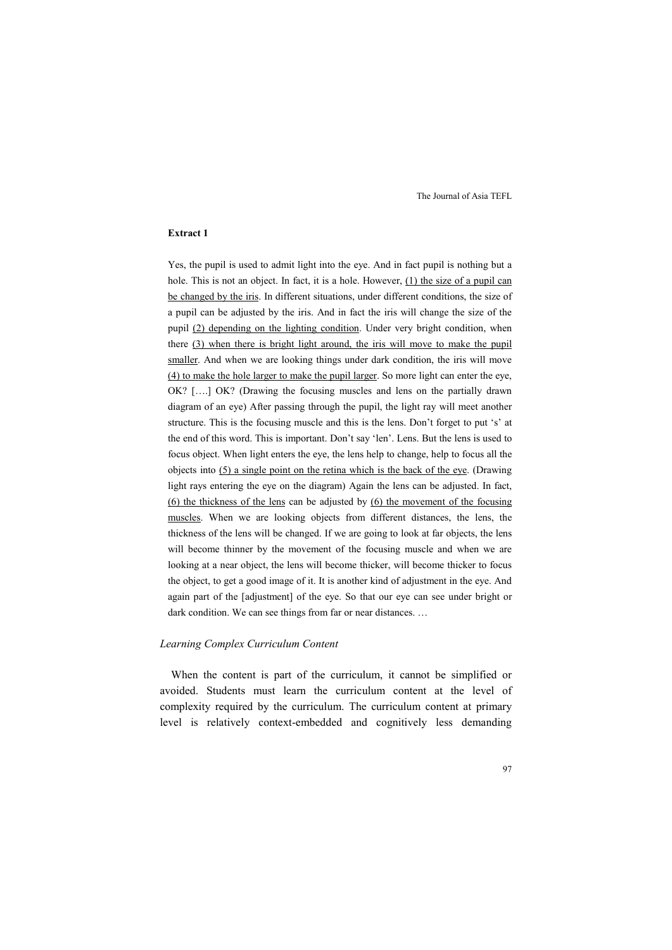#### **Extract 1**

Yes, the pupil is used to admit light into the eye. And in fact pupil is nothing but a hole. This is not an object. In fact, it is a hole. However, (1) the size of a pupil can be changed by the iris. In different situations, under different conditions, the size of a pupil can be adjusted by the iris. And in fact the iris will change the size of the pupil (2) depending on the lighting condition. Under very bright condition, when there (3) when there is bright light around, the iris will move to make the pupil smaller. And when we are looking things under dark condition, the iris will move (4) to make the hole larger to make the pupil larger. So more light can enter the eye, OK? [….] OK? (Drawing the focusing muscles and lens on the partially drawn diagram of an eye) After passing through the pupil, the light ray will meet another structure. This is the focusing muscle and this is the lens. Don't forget to put 's' at the end of this word. This is important. Don't say 'len'. Lens. But the lens is used to focus object. When light enters the eye, the lens help to change, help to focus all the objects into (5) a single point on the retina which is the back of the eye. (Drawing light rays entering the eye on the diagram) Again the lens can be adjusted. In fact, (6) the thickness of the lens can be adjusted by  $(6)$  the movement of the focusing muscles. When we are looking objects from different distances, the lens, the thickness of the lens will be changed. If we are going to look at far objects, the lens will become thinner by the movement of the focusing muscle and when we are looking at a near object, the lens will become thicker, will become thicker to focus the object, to get a good image of it. It is another kind of adjustment in the eye. And again part of the [adjustment] of the eye. So that our eye can see under bright or dark condition. We can see things from far or near distances. ...

#### *Learning Complex Curriculum Content*

When the content is part of the curriculum, it cannot be simplified or avoided. Students must learn the curriculum content at the level of complexity required by the curriculum. The curriculum content at primary level is relatively context-embedded and cognitively less demanding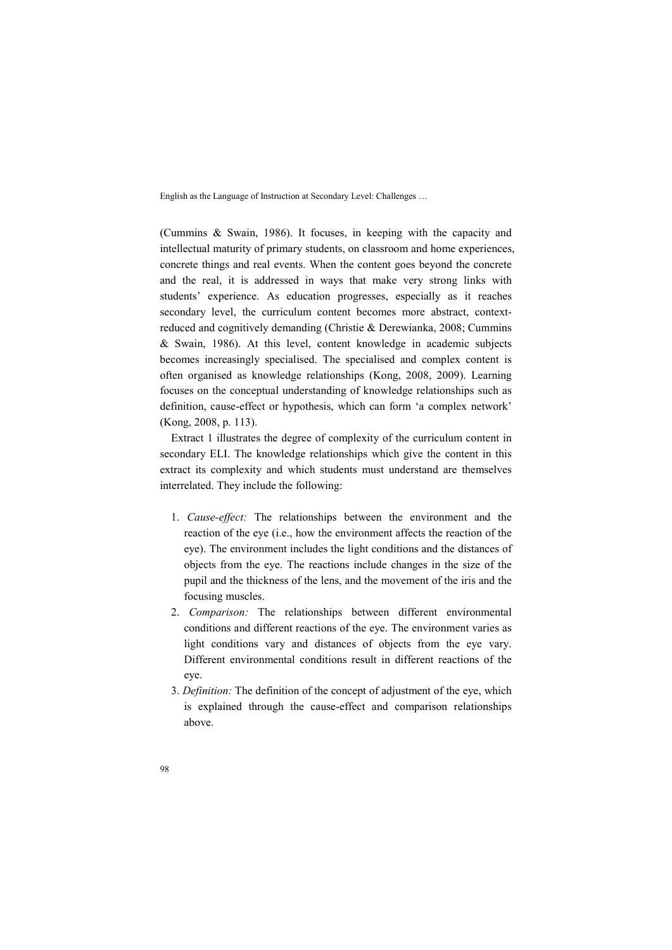(Cummins & Swain, 1986). It focuses, in keeping with the capacity and intellectual maturity of primary students, on classroom and home experiences, concrete things and real events. When the content goes beyond the concrete and the real, it is addressed in ways that make very strong links with students' experience. As education progresses, especially as it reaches secondary level, the curriculum content becomes more abstract, contextreduced and cognitively demanding (Christie & Derewianka, 2008; Cummins & Swain, 1986). At this level, content knowledge in academic subjects becomes increasingly specialised. The specialised and complex content is often organised as knowledge relationships (Kong, 2008, 2009). Learning focuses on the conceptual understanding of knowledge relationships such as definition, cause-effect or hypothesis, which can form 'a complex network' (Kong, 2008, p. 113).

Extract 1 illustrates the degree of complexity of the curriculum content in secondary ELI. The knowledge relationships which give the content in this extract its complexity and which students must understand are themselves interrelated. They include the following:

- 1. *Cause-effect:* The relationships between the environment and the reaction of the eye (i.e., how the environment affects the reaction of the eye). The environment includes the light conditions and the distances of objects from the eye. The reactions include changes in the size of the pupil and the thickness of the lens, and the movement of the iris and the focusing muscles.
- 2. *Comparison:* The relationships between different environmental conditions and different reactions of the eye. The environment varies as light conditions vary and distances of objects from the eye vary. Different environmental conditions result in different reactions of the eye.
- 3. *Definition:* The definition of the concept of adjustment of the eye, which is explained through the cause-effect and comparison relationships above.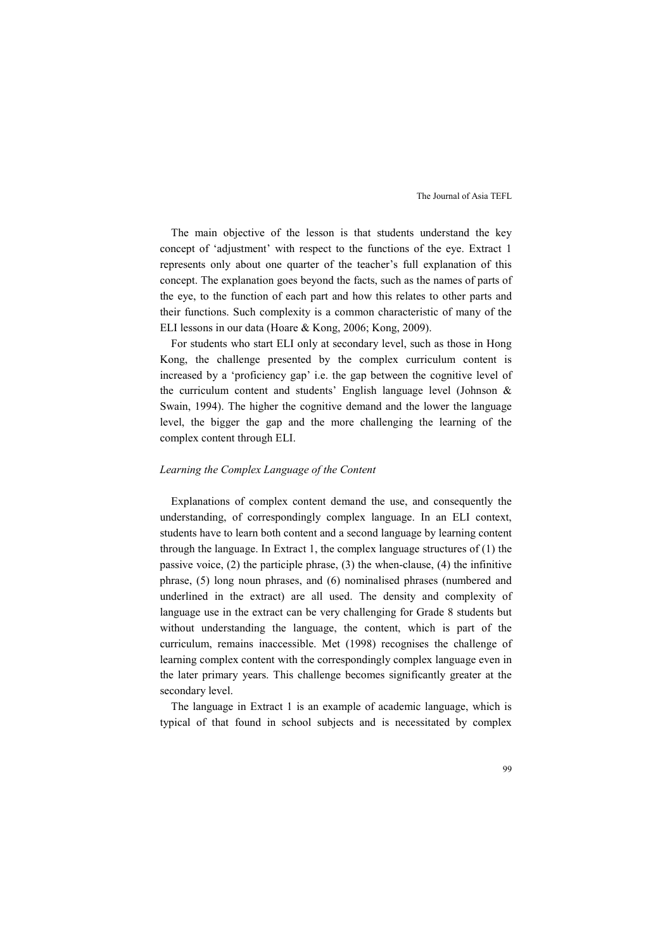The main objective of the lesson is that students understand the key concept of 'adjustment' with respect to the functions of the eye. Extract 1 represents only about one quarter of the teacher's full explanation of this concept. The explanation goes beyond the facts, such as the names of parts of the eye, to the function of each part and how this relates to other parts and their functions. Such complexity is a common characteristic of many of the ELI lessons in our data (Hoare & Kong, 2006; Kong, 2009).

For students who start ELI only at secondary level, such as those in Hong Kong, the challenge presented by the complex curriculum content is increased by a 'proficiency gap' i.e. the gap between the cognitive level of the curriculum content and students' English language level (Johnson & Swain, 1994). The higher the cognitive demand and the lower the language level, the bigger the gap and the more challenging the learning of the complex content through ELI.

#### *Learning the Complex Language of the Content*

Explanations of complex content demand the use, and consequently the understanding, of correspondingly complex language. In an ELI context, students have to learn both content and a second language by learning content through the language. In Extract 1, the complex language structures of (1) the passive voice, (2) the participle phrase, (3) the when-clause, (4) the infinitive phrase, (5) long noun phrases, and (6) nominalised phrases (numbered and underlined in the extract) are all used. The density and complexity of language use in the extract can be very challenging for Grade 8 students but without understanding the language, the content, which is part of the curriculum, remains inaccessible. Met (1998) recognises the challenge of learning complex content with the correspondingly complex language even in the later primary years. This challenge becomes significantly greater at the secondary level.

The language in Extract 1 is an example of academic language, which is typical of that found in school subjects and is necessitated by complex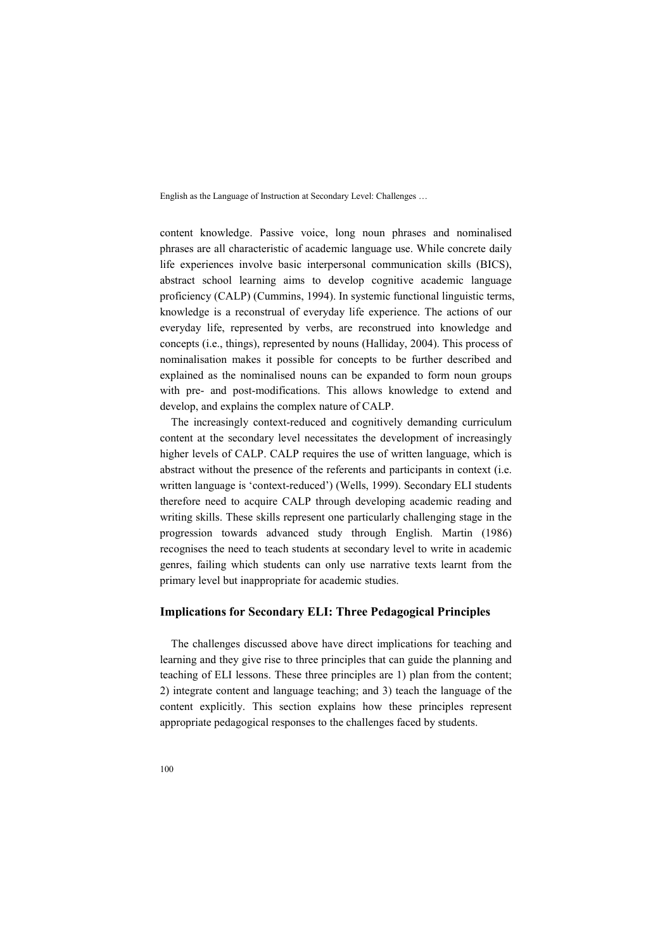content knowledge. Passive voice, long noun phrases and nominalised phrases are all characteristic of academic language use. While concrete daily life experiences involve basic interpersonal communication skills (BICS), abstract school learning aims to develop cognitive academic language proficiency (CALP) (Cummins, 1994). In systemic functional linguistic terms, knowledge is a reconstrual of everyday life experience. The actions of our everyday life, represented by verbs, are reconstrued into knowledge and concepts (i.e., things), represented by nouns (Halliday, 2004). This process of nominalisation makes it possible for concepts to be further described and explained as the nominalised nouns can be expanded to form noun groups with pre- and post-modifications. This allows knowledge to extend and develop, and explains the complex nature of CALP.

The increasingly context-reduced and cognitively demanding curriculum content at the secondary level necessitates the development of increasingly higher levels of CALP. CALP requires the use of written language, which is abstract without the presence of the referents and participants in context (i.e. written language is 'context-reduced') (Wells, 1999). Secondary ELI students therefore need to acquire CALP through developing academic reading and writing skills. These skills represent one particularly challenging stage in the progression towards advanced study through English. Martin (1986) recognises the need to teach students at secondary level to write in academic genres, failing which students can only use narrative texts learnt from the primary level but inappropriate for academic studies.

### **Implications for Secondary ELI: Three Pedagogical Principles**

The challenges discussed above have direct implications for teaching and learning and they give rise to three principles that can guide the planning and teaching of ELI lessons. These three principles are 1) plan from the content; 2) integrate content and language teaching; and 3) teach the language of the content explicitly. This section explains how these principles represent appropriate pedagogical responses to the challenges faced by students.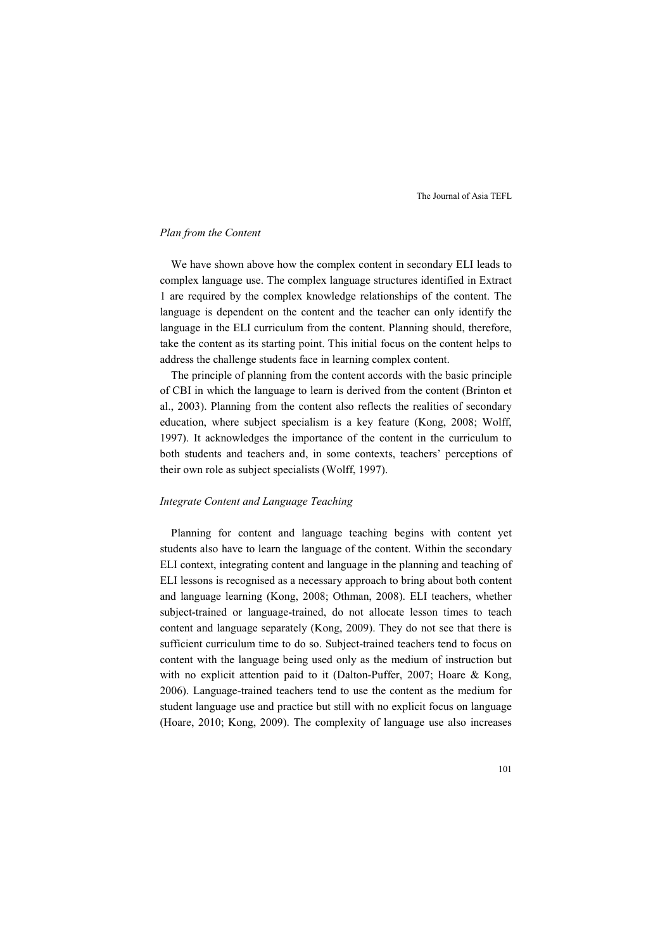#### *Plan from the Content*

We have shown above how the complex content in secondary ELI leads to complex language use. The complex language structures identified in Extract 1 are required by the complex knowledge relationships of the content. The language is dependent on the content and the teacher can only identify the language in the ELI curriculum from the content. Planning should, therefore, take the content as its starting point. This initial focus on the content helps to address the challenge students face in learning complex content.

The principle of planning from the content accords with the basic principle of CBI in which the language to learn is derived from the content (Brinton et al., 2003). Planning from the content also reflects the realities of secondary education, where subject specialism is a key feature (Kong, 2008; Wolff, 1997). It acknowledges the importance of the content in the curriculum to both students and teachers and, in some contexts, teachers' perceptions of their own role as subject specialists (Wolff, 1997).

#### *Integrate Content and Language Teaching*

Planning for content and language teaching begins with content yet students also have to learn the language of the content. Within the secondary ELI context, integrating content and language in the planning and teaching of ELI lessons is recognised as a necessary approach to bring about both content and language learning (Kong, 2008; Othman, 2008). ELI teachers, whether subject-trained or language-trained, do not allocate lesson times to teach content and language separately (Kong, 2009). They do not see that there is sufficient curriculum time to do so. Subject-trained teachers tend to focus on content with the language being used only as the medium of instruction but with no explicit attention paid to it (Dalton-Puffer, 2007; Hoare & Kong, 2006). Language-trained teachers tend to use the content as the medium for student language use and practice but still with no explicit focus on language (Hoare, 2010; Kong, 2009). The complexity of language use also increases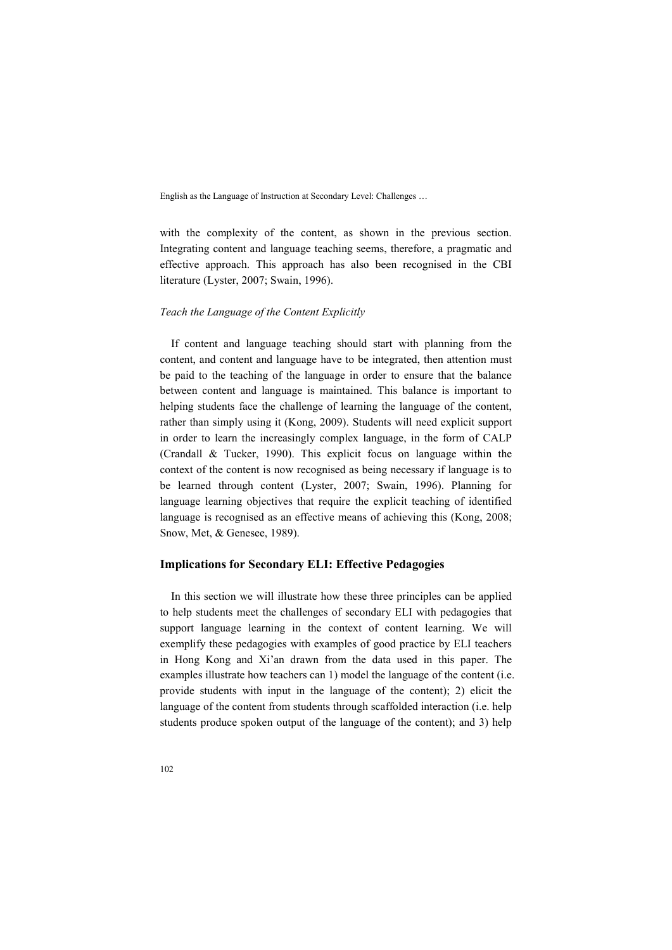with the complexity of the content, as shown in the previous section. Integrating content and language teaching seems, therefore, a pragmatic and effective approach. This approach has also been recognised in the CBI literature (Lyster, 2007; Swain, 1996).

#### *Teach the Language of the Content Explicitly*

If content and language teaching should start with planning from the content, and content and language have to be integrated, then attention must be paid to the teaching of the language in order to ensure that the balance between content and language is maintained. This balance is important to helping students face the challenge of learning the language of the content, rather than simply using it (Kong, 2009). Students will need explicit support in order to learn the increasingly complex language, in the form of CALP (Crandall & Tucker, 1990). This explicit focus on language within the context of the content is now recognised as being necessary if language is to be learned through content (Lyster, 2007; Swain, 1996). Planning for language learning objectives that require the explicit teaching of identified language is recognised as an effective means of achieving this (Kong, 2008; Snow, Met, & Genesee, 1989).

### **Implications for Secondary ELI: Effective Pedagogies**

In this section we will illustrate how these three principles can be applied to help students meet the challenges of secondary ELI with pedagogies that support language learning in the context of content learning. We will exemplify these pedagogies with examples of good practice by ELI teachers in Hong Kong and Xi'an drawn from the data used in this paper. The examples illustrate how teachers can 1) model the language of the content (i.e. provide students with input in the language of the content); 2) elicit the language of the content from students through scaffolded interaction (i.e. help students produce spoken output of the language of the content); and 3) help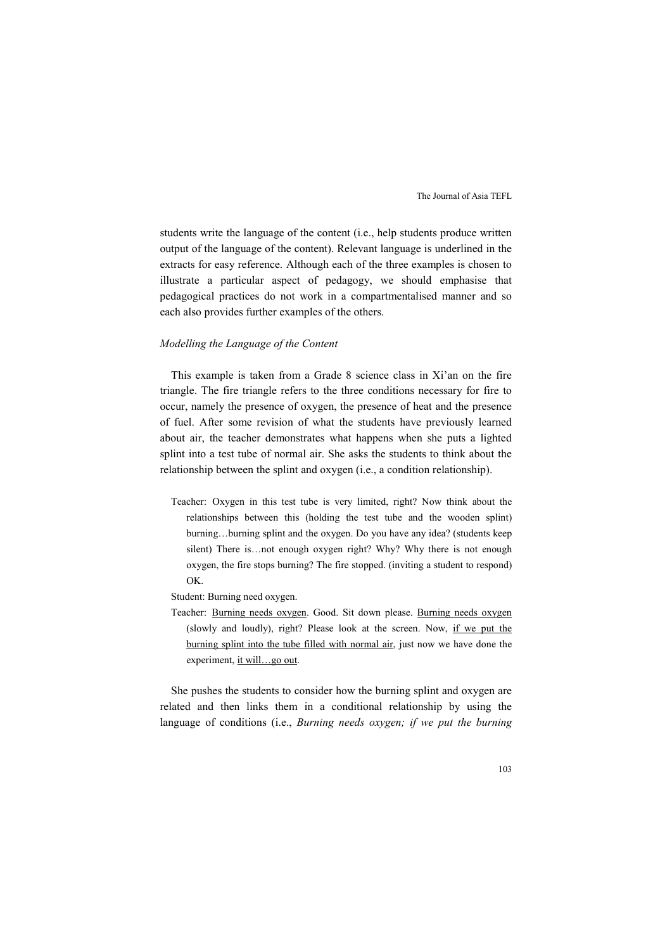students write the language of the content (i.e., help students produce written output of the language of the content). Relevant language is underlined in the extracts for easy reference. Although each of the three examples is chosen to illustrate a particular aspect of pedagogy, we should emphasise that pedagogical practices do not work in a compartmentalised manner and so each also provides further examples of the others.

### *Modelling the Language of the Content*

This example is taken from a Grade 8 science class in Xi'an on the fire triangle. The fire triangle refers to the three conditions necessary for fire to occur, namely the presence of oxygen, the presence of heat and the presence of fuel. After some revision of what the students have previously learned about air, the teacher demonstrates what happens when she puts a lighted splint into a test tube of normal air. She asks the students to think about the relationship between the splint and oxygen (i.e., a condition relationship).

- Teacher: Oxygen in this test tube is very limited, right? Now think about the relationships between this (holding the test tube and the wooden splint) burning…burning splint and the oxygen. Do you have any idea? (students keep silent) There is…not enough oxygen right? Why? Why there is not enough oxygen, the fire stops burning? The fire stopped. (inviting a student to respond) OK.
- Student: Burning need oxygen.
- Teacher: Burning needs oxygen. Good. Sit down please. Burning needs oxygen (slowly and loudly), right? Please look at the screen. Now, if we put the burning splint into the tube filled with normal air, just now we have done the experiment, it will…go out.

She pushes the students to consider how the burning splint and oxygen are related and then links them in a conditional relationship by using the language of conditions (i.e., *Burning needs oxygen; if we put the burning*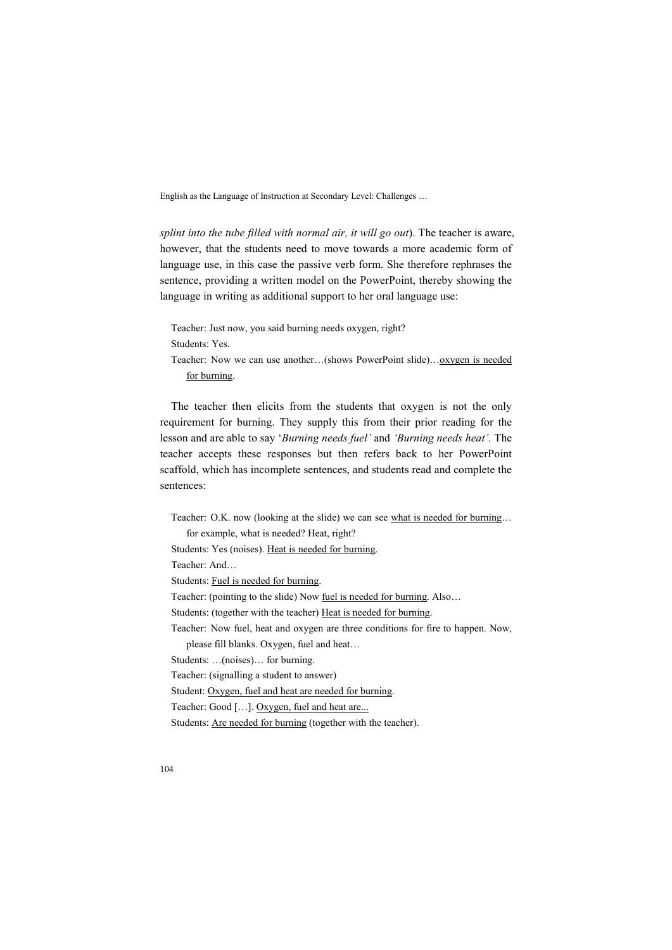*splint into the tube filled with normal air, it will go out*). The teacher is aware, however, that the students need to move towards a more academic form of language use, in this case the passive verb form. She therefore rephrases the sentence, providing a written model on the PowerPoint, thereby showing the language in writing as additional support to her oral language use:

Teacher: Just now, you said burning needs oxygen, right? Students: Yes. Teacher: Now we can use another...(shows PowerPoint slide)...<u>oxygen is needed</u> for burning.

The teacher then elicits from the students that oxygen is not the only requirement for burning. They supply this from their prior reading for the lesson and are able to say '*Burning needs fuel'* and *'Burning needs heat'.* The teacher accepts these responses but then refers back to her PowerPoint scaffold, which has incomplete sentences, and students read and complete the sentences:

Teacher: O.K. now (looking at the slide) we can see what is needed for burning... for example, what is needed? Heat, right?

Students: Yes (noises). Heat is needed for burning.

Teacher: And…

Students: Fuel is needed for burning.

Teacher: (pointing to the slide) Now fuel is needed for burning. Also...

Students: (together with the teacher) Heat is needed for burning.

Teacher: Now fuel, heat and oxygen are three conditions for fire to happen. Now,

please fill blanks. Oxygen, fuel and heat…

Students: …(noises)… for burning.

Teacher: (signalling a student to answer)

Student: Oxygen, fuel and heat are needed for burning.

Teacher: Good […]. Oxygen, fuel and heat are...

Students: Are needed for burning (together with the teacher).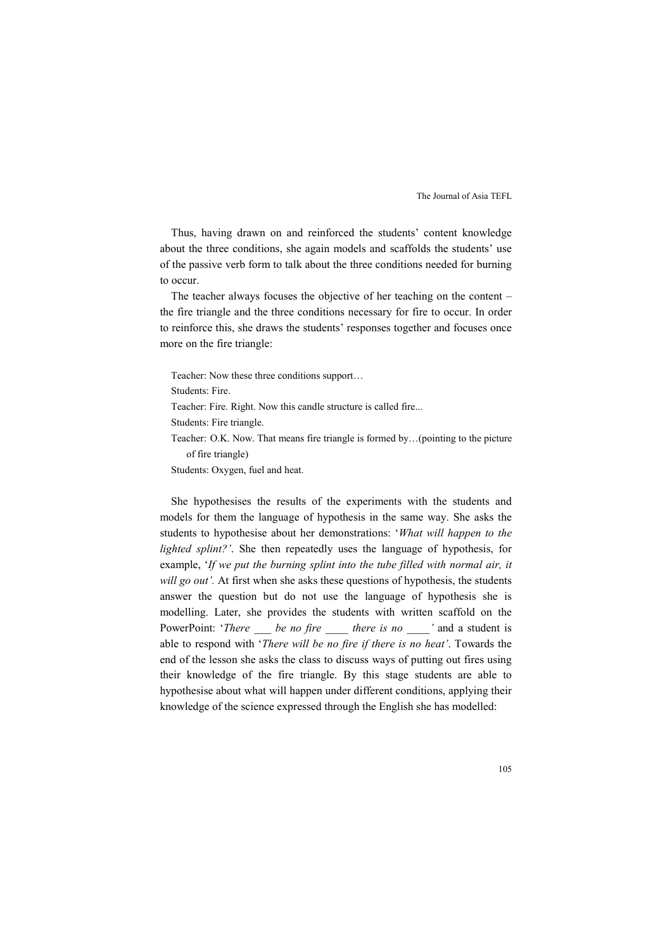Thus, having drawn on and reinforced the students' content knowledge about the three conditions, she again models and scaffolds the students' use of the passive verb form to talk about the three conditions needed for burning to occur.

The teacher always focuses the objective of her teaching on the content – the fire triangle and the three conditions necessary for fire to occur. In order to reinforce this, she draws the students' responses together and focuses once more on the fire triangle:

Teacher: Now these three conditions support…

Students: Fire.

Teacher: Fire. Right. Now this candle structure is called fire...

Students: Fire triangle.

Teacher: O.K. Now. That means fire triangle is formed by…(pointing to the picture of fire triangle)

Students: Oxygen, fuel and heat.

She hypothesises the results of the experiments with the students and models for them the language of hypothesis in the same way. She asks the students to hypothesise about her demonstrations: '*What will happen to the lighted splint?'*. She then repeatedly uses the language of hypothesis, for example, '*If we put the burning splint into the tube filled with normal air, it will go out'.* At first when she asks these questions of hypothesis, the students answer the question but do not use the language of hypothesis she is modelling. Later, she provides the students with written scaffold on the PowerPoint: '*There* \_\_\_ *be no fire* \_\_\_\_ *there is no* \_\_\_\_ ' and a student is able to respond with '*There will be no fire if there is no heat'*. Towards the end of the lesson she asks the class to discuss ways of putting out fires using their knowledge of the fire triangle. By this stage students are able to hypothesise about what will happen under different conditions, applying their knowledge of the science expressed through the English she has modelled: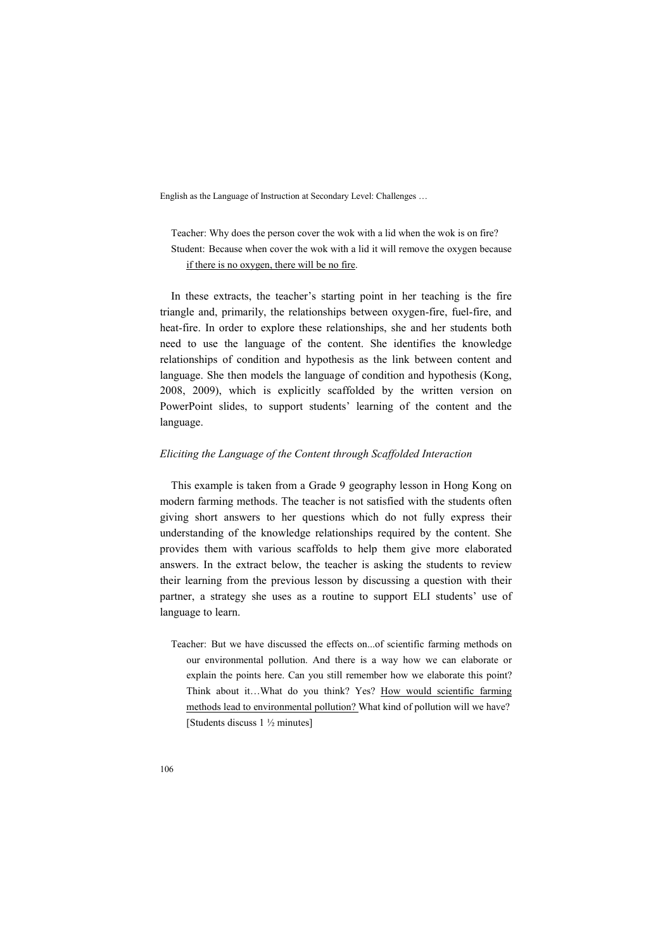Teacher: Why does the person cover the wok with a lid when the wok is on fire? Student: Because when cover the wok with a lid it will remove the oxygen because if there is no oxygen, there will be no fire.

In these extracts, the teacher's starting point in her teaching is the fire triangle and, primarily, the relationships between oxygen-fire, fuel-fire, and heat-fire. In order to explore these relationships, she and her students both need to use the language of the content. She identifies the knowledge relationships of condition and hypothesis as the link between content and language. She then models the language of condition and hypothesis (Kong, 2008, 2009), which is explicitly scaffolded by the written version on PowerPoint slides, to support students' learning of the content and the language.

#### *Eliciting the Language of the Content through Scaffolded Interaction*

This example is taken from a Grade 9 geography lesson in Hong Kong on modern farming methods. The teacher is not satisfied with the students often giving short answers to her questions which do not fully express their understanding of the knowledge relationships required by the content. She provides them with various scaffolds to help them give more elaborated answers. In the extract below, the teacher is asking the students to review their learning from the previous lesson by discussing a question with their partner, a strategy she uses as a routine to support ELI students' use of language to learn.

Teacher: But we have discussed the effects on...of scientific farming methods on our environmental pollution. And there is a way how we can elaborate or explain the points here. Can you still remember how we elaborate this point? Think about it…What do you think? Yes? How would scientific farming methods lead to environmental pollution? What kind of pollution will we have? [Students discuss 1 ½ minutes]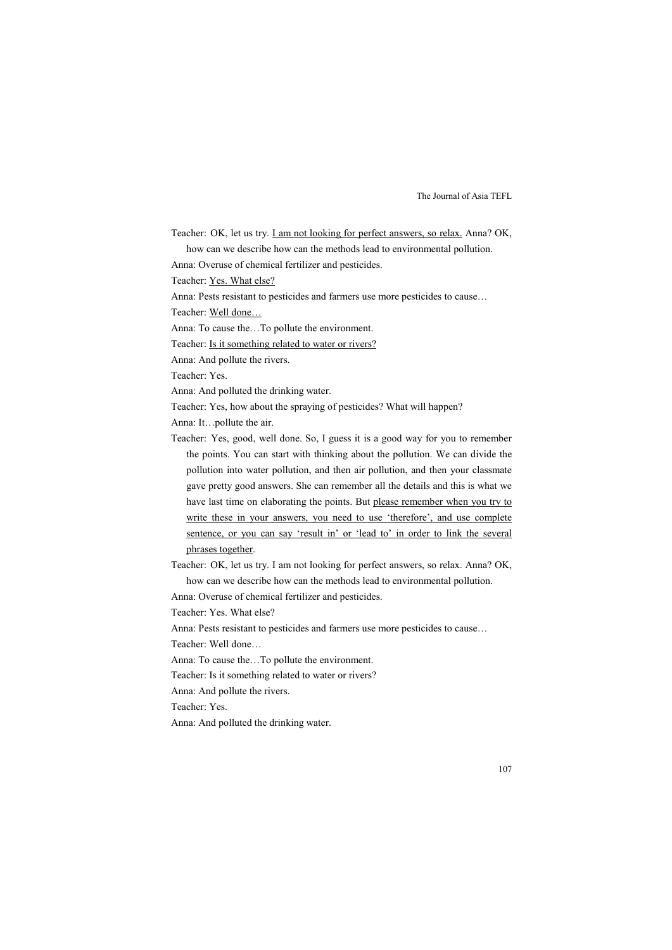Teacher: OK, let us try. I am not looking for perfect answers, so relax. Anna? OK, how can we describe how can the methods lead to environmental pollution.

Anna: Overuse of chemical fertilizer and pesticides.

Teacher: Yes. What else?

Anna: Pests resistant to pesticides and farmers use more pesticides to cause…

Teacher: Well done…

Anna: To cause the…To pollute the environment.

Teacher: Is it something related to water or rivers?

Anna: And pollute the rivers.

Teacher: Yes.

Anna: And polluted the drinking water.

Teacher: Yes, how about the spraying of pesticides? What will happen?

Anna: It…pollute the air.

Teacher: Yes, good, well done. So, I guess it is a good way for you to remember the points. You can start with thinking about the pollution. We can divide the pollution into water pollution, and then air pollution, and then your classmate gave pretty good answers. She can remember all the details and this is what we have last time on elaborating the points. But please remember when you try to write these in your answers, you need to use 'therefore', and use complete sentence, or you can say 'result in' or 'lead to' in order to link the several phrases together.

Teacher: OK, let us try. I am not looking for perfect answers, so relax. Anna? OK, how can we describe how can the methods lead to environmental pollution.

Anna: Overuse of chemical fertilizer and pesticides.

Teacher: Yes. What else?

Anna: Pests resistant to pesticides and farmers use more pesticides to cause…

Teacher: Well done…

Anna: To cause the…To pollute the environment.

Teacher: Is it something related to water or rivers?

Anna: And pollute the rivers.

Teacher: Yes.

Anna: And polluted the drinking water.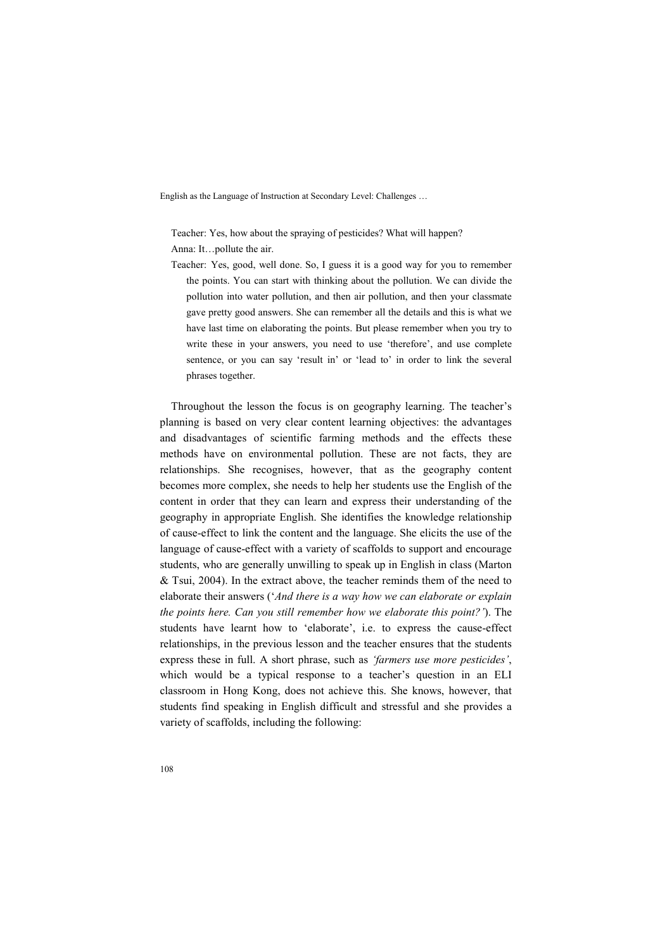Teacher: Yes, how about the spraying of pesticides? What will happen? Anna: It…pollute the air.

Teacher: Yes, good, well done. So, I guess it is a good way for you to remember the points. You can start with thinking about the pollution. We can divide the pollution into water pollution, and then air pollution, and then your classmate gave pretty good answers. She can remember all the details and this is what we have last time on elaborating the points. But please remember when you try to write these in your answers, you need to use 'therefore', and use complete sentence, or you can say 'result in' or 'lead to' in order to link the several phrases together.

Throughout the lesson the focus is on geography learning. The teacher's planning is based on very clear content learning objectives: the advantages and disadvantages of scientific farming methods and the effects these methods have on environmental pollution. These are not facts, they are relationships. She recognises, however, that as the geography content becomes more complex, she needs to help her students use the English of the content in order that they can learn and express their understanding of the geography in appropriate English. She identifies the knowledge relationship of cause-effect to link the content and the language. She elicits the use of the language of cause-effect with a variety of scaffolds to support and encourage students, who are generally unwilling to speak up in English in class (Marton & Tsui, 2004). In the extract above, the teacher reminds them of the need to elaborate their answers ('*And there is a way how we can elaborate or explain the points here. Can you still remember how we elaborate this point?'*). The students have learnt how to 'elaborate', i.e. to express the cause-effect relationships, in the previous lesson and the teacher ensures that the students express these in full. A short phrase, such as *'farmers use more pesticides'*, which would be a typical response to a teacher's question in an ELI classroom in Hong Kong, does not achieve this. She knows, however, that students find speaking in English difficult and stressful and she provides a variety of scaffolds, including the following: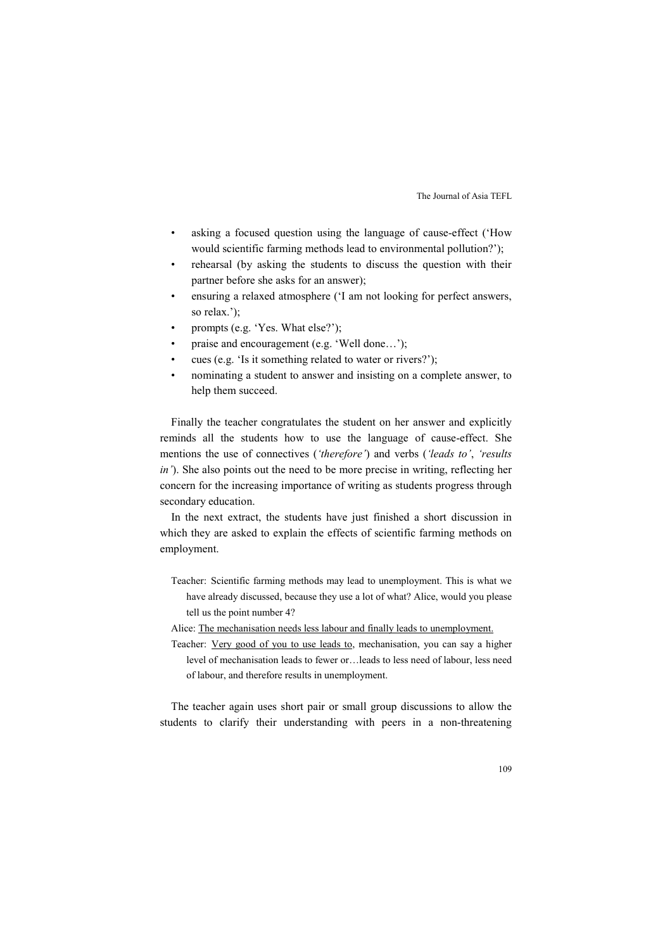- asking a focused question using the language of cause-effect ('How would scientific farming methods lead to environmental pollution?');
- rehearsal (by asking the students to discuss the question with their partner before she asks for an answer);
- ensuring a relaxed atmosphere ('I am not looking for perfect answers, so relax.');
- prompts (e.g. 'Yes. What else?');
- praise and encouragement (e.g. 'Well done…');
- cues (e.g. 'Is it something related to water or rivers?');
- nominating a student to answer and insisting on a complete answer, to help them succeed.

Finally the teacher congratulates the student on her answer and explicitly reminds all the students how to use the language of cause-effect. She mentions the use of connectives (*'therefore'*) and verbs (*'leads to'*, *'results in'*). She also points out the need to be more precise in writing, reflecting her concern for the increasing importance of writing as students progress through secondary education.

In the next extract, the students have just finished a short discussion in which they are asked to explain the effects of scientific farming methods on employment.

- Teacher: Scientific farming methods may lead to unemployment. This is what we have already discussed, because they use a lot of what? Alice, would you please tell us the point number 4?
- Alice: The mechanisation needs less labour and finally leads to unemployment.
- Teacher: Very good of you to use leads to, mechanisation, you can say a higher level of mechanisation leads to fewer or…leads to less need of labour, less need of labour, and therefore results in unemployment.

The teacher again uses short pair or small group discussions to allow the students to clarify their understanding with peers in a non-threatening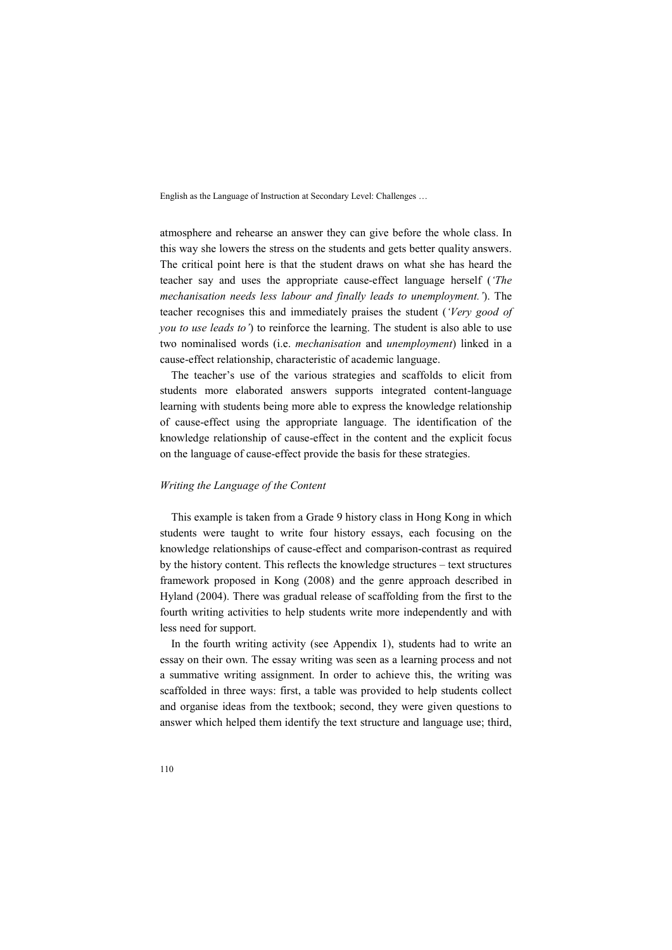atmosphere and rehearse an answer they can give before the whole class. In this way she lowers the stress on the students and gets better quality answers. The critical point here is that the student draws on what she has heard the teacher say and uses the appropriate cause-effect language herself (*'The mechanisation needs less labour and finally leads to unemployment.'*). The teacher recognises this and immediately praises the student (*'Very good of you to use leads to'*) to reinforce the learning. The student is also able to use two nominalised words (i.e. *mechanisation* and *unemployment*) linked in a cause-effect relationship, characteristic of academic language.

The teacher's use of the various strategies and scaffolds to elicit from students more elaborated answers supports integrated content-language learning with students being more able to express the knowledge relationship of cause-effect using the appropriate language. The identification of the knowledge relationship of cause-effect in the content and the explicit focus on the language of cause-effect provide the basis for these strategies.

#### *Writing the Language of the Content*

This example is taken from a Grade 9 history class in Hong Kong in which students were taught to write four history essays, each focusing on the knowledge relationships of cause-effect and comparison-contrast as required by the history content. This reflects the knowledge structures – text structures framework proposed in Kong (2008) and the genre approach described in Hyland (2004). There was gradual release of scaffolding from the first to the fourth writing activities to help students write more independently and with less need for support.

In the fourth writing activity (see Appendix 1), students had to write an essay on their own. The essay writing was seen as a learning process and not a summative writing assignment. In order to achieve this, the writing was scaffolded in three ways: first, a table was provided to help students collect and organise ideas from the textbook; second, they were given questions to answer which helped them identify the text structure and language use; third,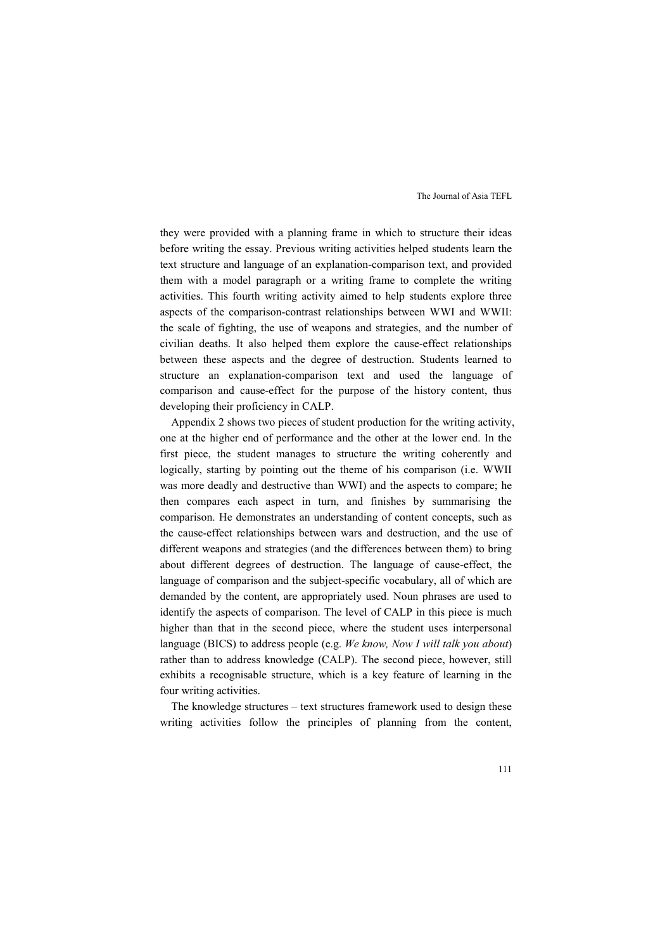they were provided with a planning frame in which to structure their ideas before writing the essay. Previous writing activities helped students learn the text structure and language of an explanation-comparison text, and provided them with a model paragraph or a writing frame to complete the writing activities. This fourth writing activity aimed to help students explore three aspects of the comparison-contrast relationships between WWI and WWII: the scale of fighting, the use of weapons and strategies, and the number of civilian deaths. It also helped them explore the cause-effect relationships between these aspects and the degree of destruction. Students learned to structure an explanation-comparison text and used the language of comparison and cause-effect for the purpose of the history content, thus developing their proficiency in CALP.

Appendix 2 shows two pieces of student production for the writing activity, one at the higher end of performance and the other at the lower end. In the first piece, the student manages to structure the writing coherently and logically, starting by pointing out the theme of his comparison (i.e. WWII was more deadly and destructive than WWI) and the aspects to compare; he then compares each aspect in turn, and finishes by summarising the comparison. He demonstrates an understanding of content concepts, such as the cause-effect relationships between wars and destruction, and the use of different weapons and strategies (and the differences between them) to bring about different degrees of destruction. The language of cause-effect, the language of comparison and the subject-specific vocabulary, all of which are demanded by the content, are appropriately used. Noun phrases are used to identify the aspects of comparison. The level of CALP in this piece is much higher than that in the second piece, where the student uses interpersonal language (BICS) to address people (e.g. *We know, Now I will talk you about*) rather than to address knowledge (CALP). The second piece, however, still exhibits a recognisable structure, which is a key feature of learning in the four writing activities.

The knowledge structures – text structures framework used to design these writing activities follow the principles of planning from the content,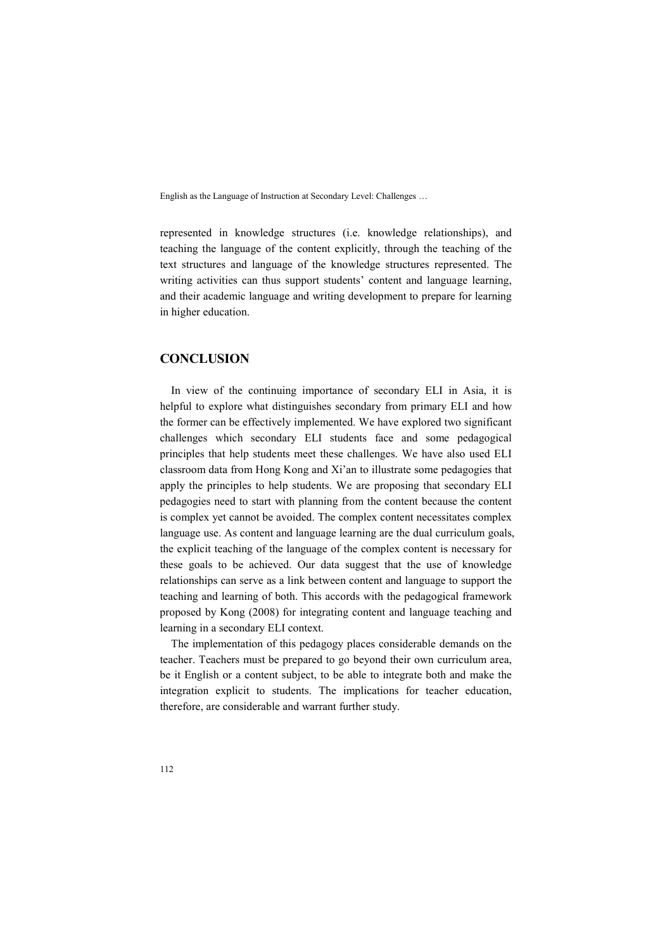represented in knowledge structures (i.e. knowledge relationships), and teaching the language of the content explicitly, through the teaching of the text structures and language of the knowledge structures represented. The writing activities can thus support students' content and language learning, and their academic language and writing development to prepare for learning in higher education.

# **CONCLUSION**

In view of the continuing importance of secondary ELI in Asia, it is helpful to explore what distinguishes secondary from primary ELI and how the former can be effectively implemented. We have explored two significant challenges which secondary ELI students face and some pedagogical principles that help students meet these challenges. We have also used ELI classroom data from Hong Kong and Xi'an to illustrate some pedagogies that apply the principles to help students. We are proposing that secondary ELI pedagogies need to start with planning from the content because the content is complex yet cannot be avoided. The complex content necessitates complex language use. As content and language learning are the dual curriculum goals, the explicit teaching of the language of the complex content is necessary for these goals to be achieved. Our data suggest that the use of knowledge relationships can serve as a link between content and language to support the teaching and learning of both. This accords with the pedagogical framework proposed by Kong (2008) for integrating content and language teaching and learning in a secondary ELI context.

The implementation of this pedagogy places considerable demands on the teacher. Teachers must be prepared to go beyond their own curriculum area, be it English or a content subject, to be able to integrate both and make the integration explicit to students. The implications for teacher education, therefore, are considerable and warrant further study.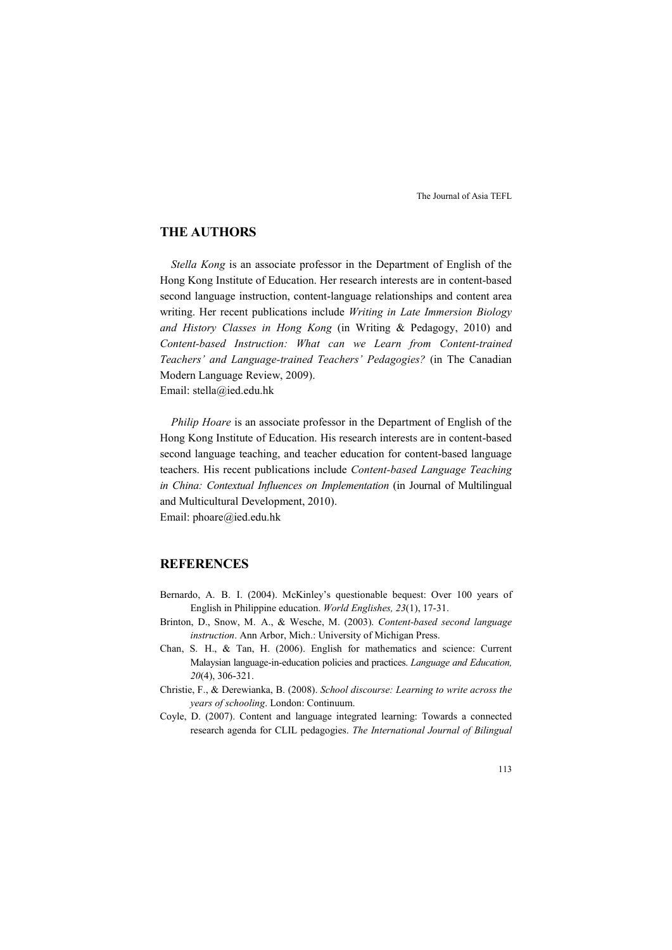# **THE AUTHORS**

*Stella Kong* is an associate professor in the Department of English of the Hong Kong Institute of Education. Her research interests are in content-based second language instruction, content-language relationships and content area writing. Her recent publications include *Writing in Late Immersion Biology and History Classes in Hong Kong* (in Writing & Pedagogy, 2010) and *Content-based Instruction: What can we Learn from Content-trained Teachers' and Language-trained Teachers' Pedagogies?* (in The Canadian Modern Language Review, 2009). Email: stella@ied.edu.hk

*Philip Hoare* is an associate professor in the Department of English of the Hong Kong Institute of Education. His research interests are in content-based second language teaching, and teacher education for content-based language teachers. His recent publications include *Content-based Language Teaching in China: Contextual Influences on Implementation* (in Journal of Multilingual and Multicultural Development, 2010). Email: phoare@ied.edu.hk

# **REFERENCES**

- Bernardo, A. B. I. (2004). McKinley's questionable bequest: Over 100 years of English in Philippine education. *World Englishes, 23*(1), 17-31.
- Brinton, D., Snow, M. A., & Wesche, M. (2003). *Content-based second language instruction*. Ann Arbor, Mich.: University of Michigan Press.
- Chan, S. H., & Tan, H. (2006). English for mathematics and science: Current Malaysian language-in-education policies and practices. *Language and Education, 20*(4), 306-321.
- Christie, F., & Derewianka, B. (2008). *School discourse: Learning to write across the years of schooling*. London: Continuum.
- Coyle, D. (2007). Content and language integrated learning: Towards a connected research agenda for CLIL pedagogies. *The International Journal of Bilingual*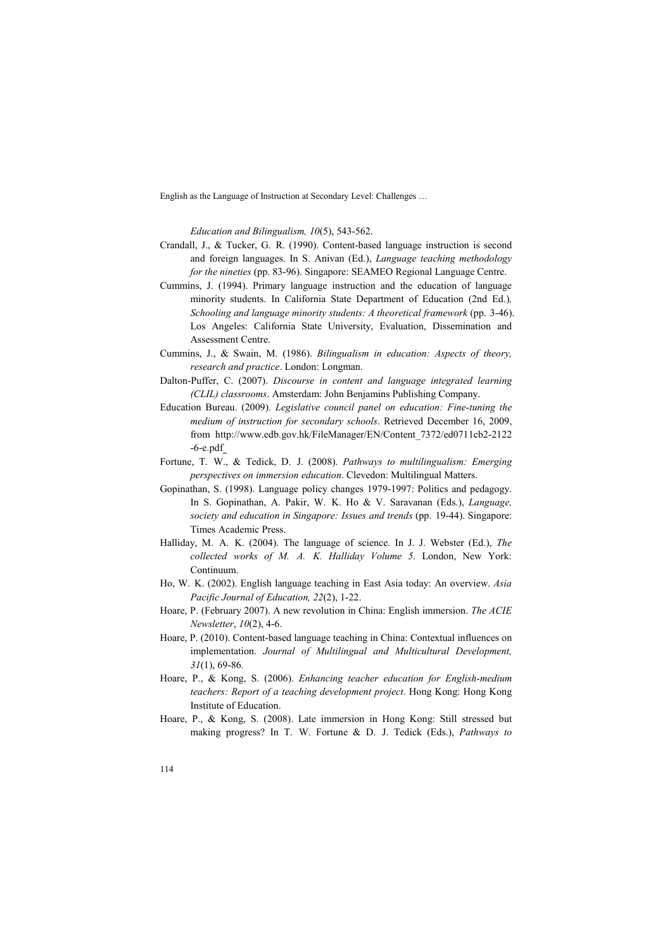*Education and Bilingualism, 10*(5), 543-562.

- Crandall, J., & Tucker, G. R. (1990). Content-based language instruction is second and foreign languages. In S. Anivan (Ed.), *Language teaching methodology for the nineties* (pp. 83-96). Singapore: SEAMEO Regional Language Centre.
- Cummins, J. (1994). Primary language instruction and the education of language minority students. In California State Department of Education (2nd Ed.)*, Schooling and language minority students: A theoretical framework* (pp. 3-46). Los Angeles: California State University, Evaluation, Dissemination and Assessment Centre.
- Cummins, J., & Swain, M. (1986). *Bilingualism in education: Aspects of theory, research and practice*. London: Longman.
- Dalton-Puffer, C. (2007). *Discourse in content and language integrated learning (CLIL) classrooms*. Amsterdam: John Benjamins Publishing Company.
- Education Bureau. (2009). *Legislative council panel on education: Fine-tuning the medium of instruction for secondary schools*. Retrieved December 16, 2009, from http://www.edb.gov.hk/FileManager/EN/Content\_7372/ed0711cb2-2122  $-6$ -e.pdf $_$
- Fortune, T. W., & Tedick, D. J. (2008). *Pathways to multilingualism: Emerging perspectives on immersion education*. Clevedon: Multilingual Matters.
- Gopinathan, S. (1998). Language policy changes 1979-1997: Politics and pedagogy. In S. Gopinathan, A. Pakir, W. K. Ho & V. Saravanan (Eds.), *Language, society and education in Singapore: Issues and trends* (pp. 19-44). Singapore: Times Academic Press.
- Halliday, M. A. K. (2004). The language of science. In J. J. Webster (Ed.), *The collected works of M. A. K. Halliday Volume 5*. London, New York: Continuum.
- Ho, W. K. (2002). English language teaching in East Asia today: An overview. *Asia Pacific Journal of Education, 22*(2), 1-22.
- Hoare, P. (February 2007). A new revolution in China: English immersion. *The ACIE 0ewsletter*, *10*(2), 4-6.
- Hoare, P. (2010). Content-based language teaching in China: Contextual influences on implementation. *Journal of Multilingual and Multicultural Development, 31*(1), 69-86*.*
- Hoare, P., & Kong, S. (2006). *Enhancing teacher education for English-medium teachers: Report of a teaching development project*. Hong Kong: Hong Kong Institute of Education.
- Hoare, P., & Kong, S. (2008). Late immersion in Hong Kong: Still stressed but making progress? In T. W. Fortune & D. J. Tedick (Eds.), *Pathways to*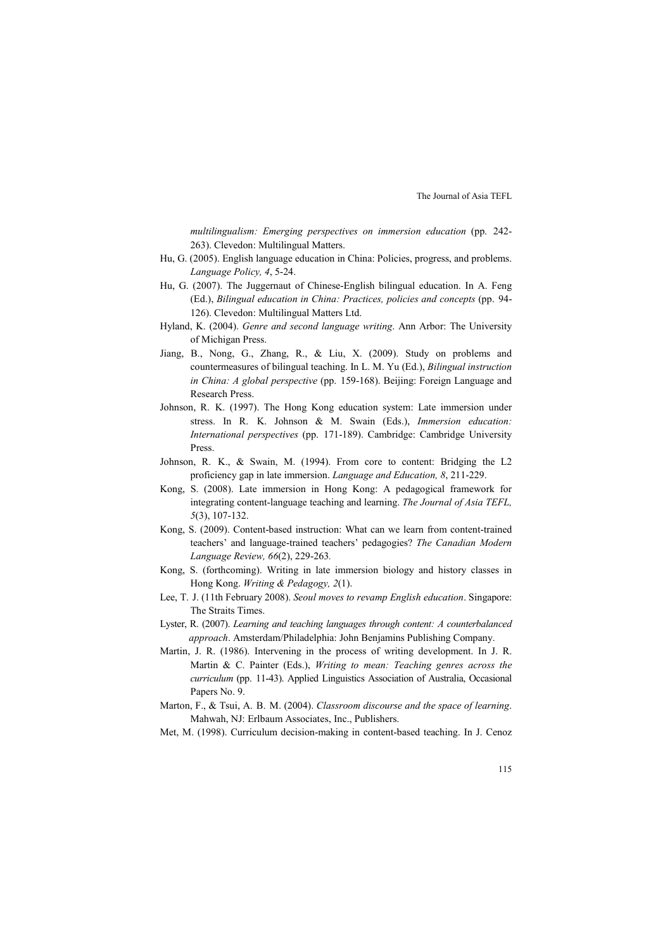*multilingualism: Emerging perspectives on immersion education* (pp. 242- 263). Clevedon: Multilingual Matters.

- Hu, G. (2005). English language education in China: Policies, progress, and problems. *Language Policy, 4*, 5-24.
- Hu, G. (2007). The Juggernaut of Chinese-English bilingual education. In A. Feng (Ed.), *Bilingual education in China: Practices, policies and concepts* (pp. 94- 126). Clevedon: Multilingual Matters Ltd.
- Hyland, K. (2004). *Genre and second language writing*. Ann Arbor: The University of Michigan Press.
- Jiang, B., Nong, G., Zhang, R., & Liu, X. (2009). Study on problems and countermeasures of bilingual teaching. In L. M. Yu (Ed.), *Bilingual instruction in China: A global perspective* (pp. 159-168). Beijing: Foreign Language and Research Press.
- Johnson, R. K. (1997). The Hong Kong education system: Late immersion under stress. In R. K. Johnson & M. Swain (Eds.), *Immersion education: International perspectives* (pp. 171-189). Cambridge: Cambridge University Press.
- Johnson, R. K., & Swain, M. (1994). From core to content: Bridging the L2 proficiency gap in late immersion. *Language and Education, 8*, 211-229.
- Kong, S. (2008). Late immersion in Hong Kong: A pedagogical framework for integrating content-language teaching and learning. *The Journal of Asia TEFL, 5*(3), 107-132.
- Kong, S. (2009). Content-based instruction: What can we learn from content-trained teachers' and language-trained teachers' pedagogies? *The Canadian Modern Language Review, 66*(2), 229-263*.*
- Kong, S. (forthcoming). Writing in late immersion biology and history classes in Hong Kong. *Writing & Pedagogy, 2*(1).
- Lee, T. J. (11th February 2008). *Seoul moves to revamp English education*. Singapore: The Straits Times.
- Lyster, R. (2007). *Learning and teaching languages through content: A counterbalanced approach*. Amsterdam/Philadelphia: John Benjamins Publishing Company.
- Martin, J. R. (1986). Intervening in the process of writing development. In J. R. Martin & C. Painter (Eds.), *Writing to mean: Teaching genres across the curriculum* (pp. 11-43). Applied Linguistics Association of Australia, Occasional Papers No. 9.
- Marton, F., & Tsui, A. B. M. (2004). *Classroom discourse and the space of learning*. Mahwah, NJ: Erlbaum Associates, Inc., Publishers.
- Met, M. (1998). Curriculum decision-making in content-based teaching. In J. Cenoz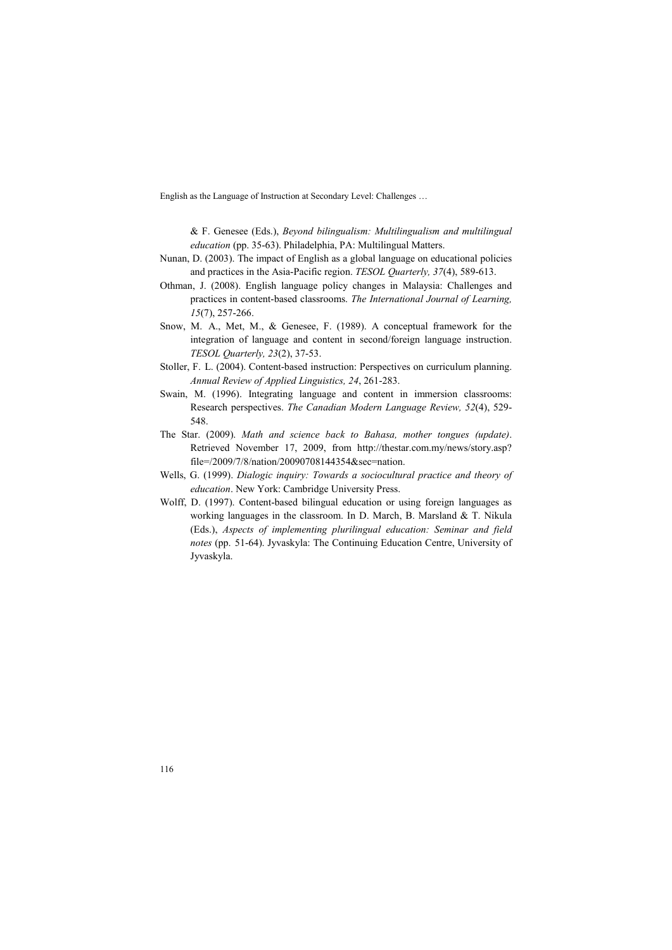& F. Genesee (Eds.), *Beyond bilingualism: Multilingualism and multilingual education* (pp. 35-63). Philadelphia, PA: Multilingual Matters.

- Nunan, D. (2003). The impact of English as a global language on educational policies and practices in the Asia-Pacific region. *TESOL Quarterly, 37*(4), 589-613.
- Othman, J. (2008). English language policy changes in Malaysia: Challenges and practices in content-based classrooms. *The International Journal of Learning, 15*(7), 257-266.
- Snow, M. A., Met, M., & Genesee, F. (1989). A conceptual framework for the integration of language and content in second/foreign language instruction. *TESOL Quarterly, 23*(2), 37-53.
- Stoller, F. L. (2004). Content-based instruction: Perspectives on curriculum planning. *Annual Review of Applied Linguistics, 24*, 261-283.
- Swain, M. (1996). Integrating language and content in immersion classrooms: Research perspectives. *The Canadian Modern Language Review, 52*(4), 529- 548.
- The Star. (2009). *Math and science back to Bahasa, mother tongues (update)*. Retrieved November 17, 2009, from http://thestar.com.my/news/story.asp? file=/2009/7/8/nation/20090708144354&sec=nation.
- Wells, G. (1999). *Dialogic inquiry: Towards a sociocultural practice and theory of education*. New York: Cambridge University Press.
- Wolff, D. (1997). Content-based bilingual education or using foreign languages as working languages in the classroom. In D. March, B. Marsland & T. Nikula (Eds.), *Aspects of implementing plurilingual education: Seminar and field notes* (pp. 51-64). Jyvaskyla: The Continuing Education Centre, University of Jyvaskyla.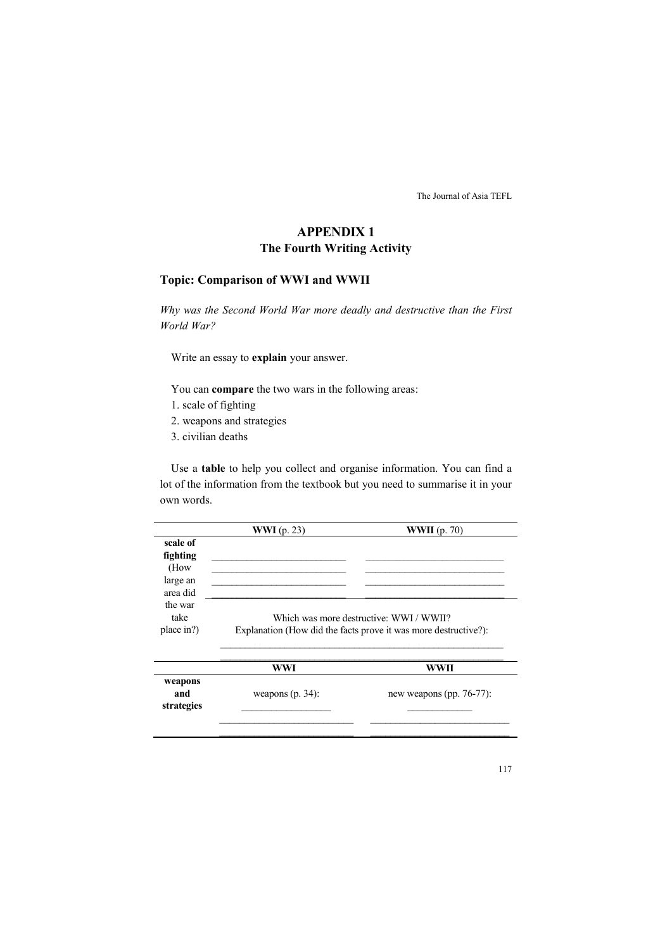# **APPENDIX 1 The Fourth Writing Activity**

# **Topic: Comparison of WWI and WWII**

*Why was the Second World War more deadly and destructive than the First World War?* 

Write an essay to **explain** your answer.

You can **compare** the two wars in the following areas:

- 1. scale of fighting
- 2. weapons and strategies
- 3. civilian deaths

Use a **table** to help you collect and organise information. You can find a lot of the information from the textbook but you need to summarise it in your own words.

|            | WWI $(p. 23)$                           | WWII $(p. 70)$                                                  |  |
|------------|-----------------------------------------|-----------------------------------------------------------------|--|
| scale of   |                                         |                                                                 |  |
| fighting   |                                         |                                                                 |  |
| (How       |                                         |                                                                 |  |
| large an   |                                         |                                                                 |  |
| area did   |                                         |                                                                 |  |
| the war    |                                         |                                                                 |  |
| take       | Which was more destructive: WWI / WWII? |                                                                 |  |
| place in?) |                                         | Explanation (How did the facts prove it was more destructive?): |  |
|            | WWI                                     | WWII                                                            |  |
| weapons    |                                         |                                                                 |  |
| and        | weapons $(p. 34)$ :                     | new weapons (pp. $76-77$ ):                                     |  |

 $\frac{1}{2}$  ,  $\frac{1}{2}$  ,  $\frac{1}{2}$  ,  $\frac{1}{2}$  ,  $\frac{1}{2}$  ,  $\frac{1}{2}$  ,  $\frac{1}{2}$  ,  $\frac{1}{2}$  ,  $\frac{1}{2}$  ,  $\frac{1}{2}$  ,  $\frac{1}{2}$  ,  $\frac{1}{2}$  ,  $\frac{1}{2}$  ,  $\frac{1}{2}$  ,  $\frac{1}{2}$  ,  $\frac{1}{2}$  ,  $\frac{1}{2}$  ,  $\frac{1}{2}$  ,  $\frac{1$ 

 $\_$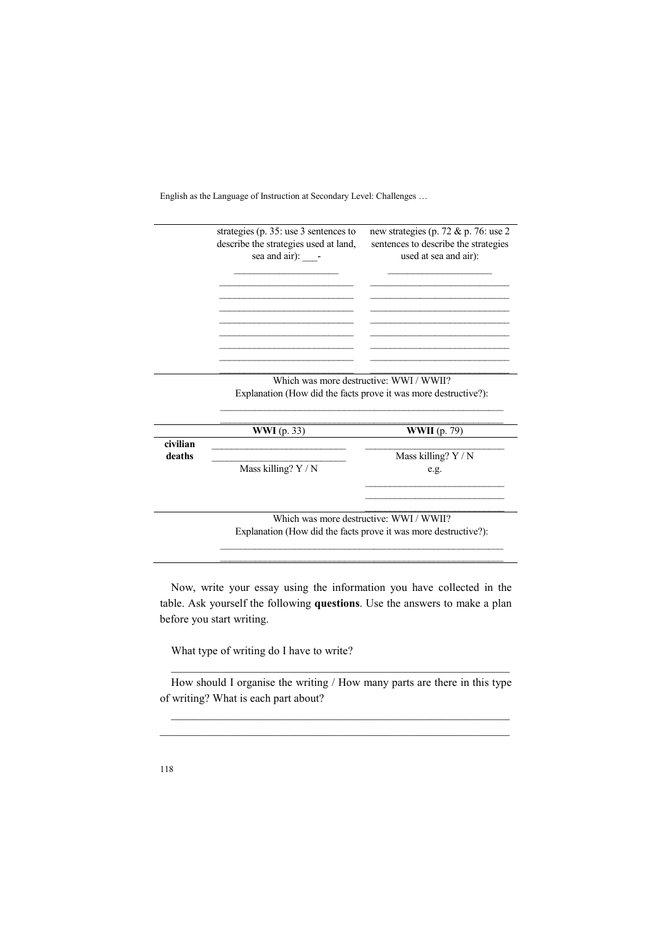|          | strategies (p. 35: use 3 sentences to<br>describe the strategies used at land,<br>sea and air): - | new strategies (p. 72 & p. 76: use 2<br>sentences to describe the strategies<br>used at sea and air): |
|----------|---------------------------------------------------------------------------------------------------|-------------------------------------------------------------------------------------------------------|
|          |                                                                                                   |                                                                                                       |
|          |                                                                                                   |                                                                                                       |
|          |                                                                                                   |                                                                                                       |
|          | Which was more destructive: WWI / WWII?                                                           |                                                                                                       |
|          |                                                                                                   | Explanation (How did the facts prove it was more destructive?):                                       |
|          | <b>WWI</b> (p. 33)                                                                                | <b>WWII</b> (p. 79)                                                                                   |
| civilian |                                                                                                   |                                                                                                       |
| deaths   | Mass killing? Y / N                                                                               | Mass killing? Y / N<br>e.g.                                                                           |
|          |                                                                                                   |                                                                                                       |
|          | Explanation (How did the facts prove it was more destructive?):                                   | Which was more destructive: WWI / WWII?                                                               |

Now, write your essay using the information you have collected in the table. Ask yourself the following **questions**. Use the answers to make a plan before you start writing.

\_\_\_\_\_\_\_\_\_\_\_\_\_\_\_\_\_\_\_\_\_\_\_\_\_\_\_\_\_\_\_\_\_\_\_\_\_\_\_\_\_\_\_\_\_\_\_\_\_\_\_\_\_\_\_\_\_

What type of writing do I have to write?

How should I organise the writing / How many parts are there in this type of writing? What is each part about?

 $\_$  , and the set of the set of the set of the set of the set of the set of the set of the set of the set of the set of the set of the set of the set of the set of the set of the set of the set of the set of the set of th  $\_$  , and the set of the set of the set of the set of the set of the set of the set of the set of the set of the set of the set of the set of the set of the set of the set of the set of the set of the set of the set of th

 $\_$  , and the set of the set of the set of the set of the set of the set of the set of the set of the set of the set of the set of the set of the set of the set of the set of the set of the set of the set of the set of th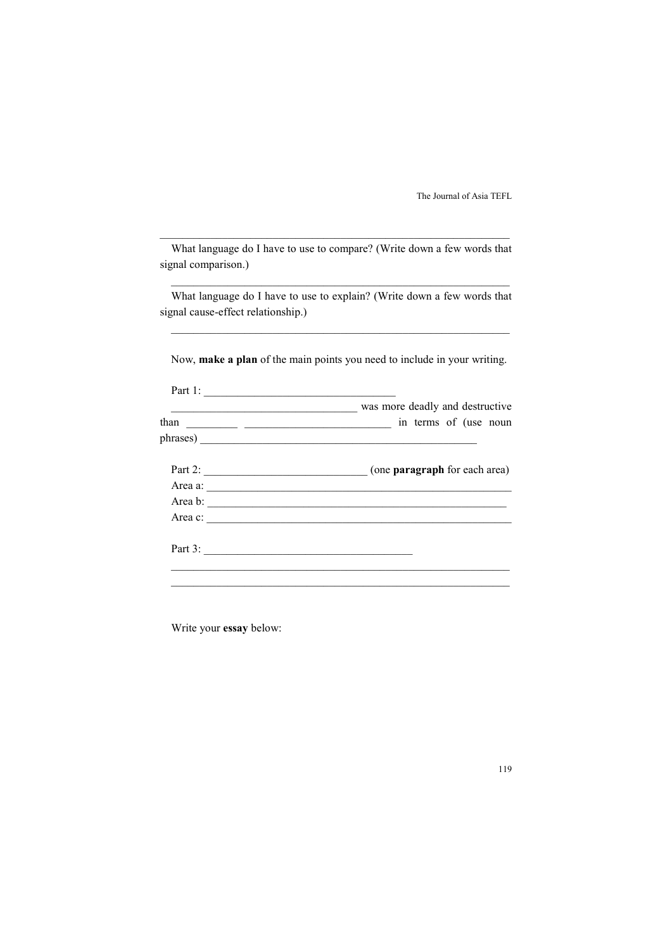| What language do I have to use to compare? (Write down a few words that |  |  |
|-------------------------------------------------------------------------|--|--|
| signal comparison.)                                                     |  |  |

\_\_\_\_\_\_\_\_\_\_\_\_\_\_\_\_\_\_\_\_\_\_\_\_\_\_\_\_\_\_\_\_\_\_\_\_\_\_\_\_\_\_\_\_\_\_\_\_\_\_\_\_\_\_\_\_\_\_\_\_\_\_

What language do I have to use to explain? (Write down a few words that signal cause-effect relationship.)

 $\_$  , and the set of the set of the set of the set of the set of the set of the set of the set of the set of the set of the set of the set of the set of the set of the set of the set of the set of the set of the set of th

 $\_$  , and the set of the set of the set of the set of the set of the set of the set of the set of the set of the set of the set of the set of the set of the set of the set of the set of the set of the set of the set of th

Now, **make a plan** of the main points you need to include in your writing.

| was more deadly and destructive |
|---------------------------------|
|                                 |
| phrases)                        |
|                                 |
| Area a:                         |
| Area b:                         |
| Area c:                         |
| Part 3: $\qquad \qquad$         |
|                                 |

 $\_$  , and the set of the set of the set of the set of the set of the set of the set of the set of the set of the set of the set of the set of the set of the set of the set of the set of the set of the set of the set of th

Write your **essay** below: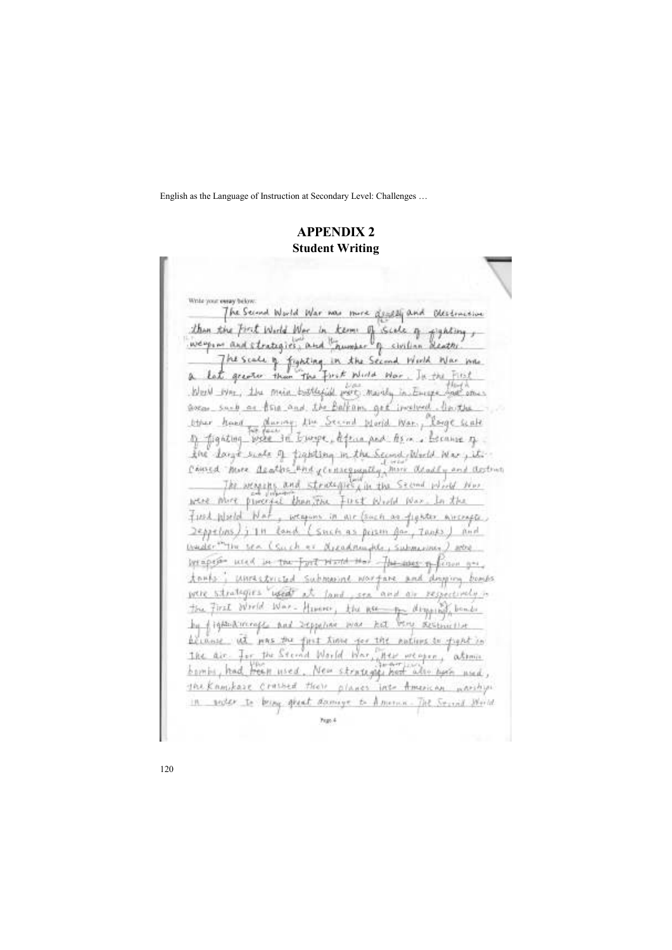# **APPEDIX 2 Student Writing**

Write your eway below. The Second World War max more <u>durabl</u> and Olestractive than the First World War in Kenny of Scale of eighting wegin and strategies, and trumper of civilian deaths The scule of fighting in the Second World War june. Let greater than the first Window War. In the First blev we, the min bottefiel port move in Empe hat ones areas such as the and the Balkam get included. In the ther hand during the Second World War, Longe walk 1) fighting were in burge defens and their became to for days such a tighting in the Second World Mary it. Consed more acathe that censequently, here deadly and activity The arragons and struceques, in the Second Wind Nor were more paneral than the First World Wax, In the First World Nat, weapons in air (such as fighter mirrage) repretions) in tand (such as poison for, tooks) and Unader The sea (Such er areadminister Submission ) who becapers used in the Fort Hard Hor the asses in fiction and 大かばか interessenced submarine wortare and droping bonds strategies used at iv/C Jand. and ar respectively the First Wrold War- Henever, the nearthe dispersed bonds by fighter irrage and reporting was hel been accounted principle at mas the first time for the mating to fight in air. Ior the Second World War, New weapon, aboma 工会社 bombs, had freeze used. New structures here also have used, the Knowleare crashed their planes into American warships In sector to being speak damage to America-The Social World Figs. 4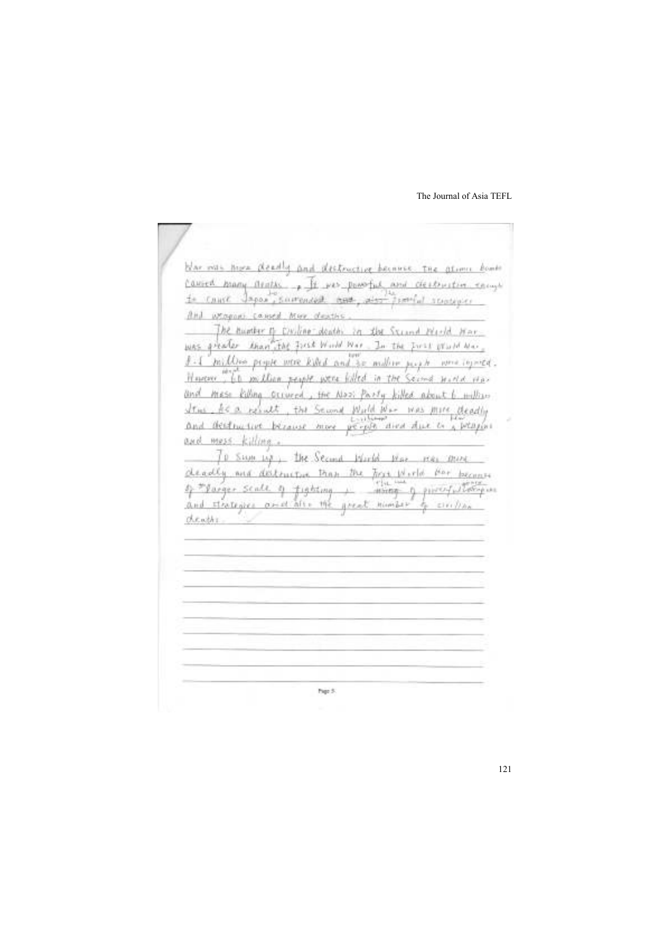blar mas more deadly and destructive because the atumn bombs <u> Caused Many Aratas , It was powerful and destructive encury</u> to cause Importance and any dist from accounts. And uppgan caused him deaths The humber of Civiline deaths in the Strand Herld Harwas greater than the first World Mar. In the first problem. million people were killed and he maker people were togened. However, 60 million people were folled in the Second Hurld Har MESS Killing General, the Nool Party killed about 6 million and I as the a result, the Second World War mas more deadly and destinctive because more people aired due to a people. and mess killing. 10 Swm by the Second World Max mes more cheadly and destructive trap the first World floor becomes  $+$   $\frac{1}{\sin \theta}$  pirofullocapus of \*parger scale of fighting and strategies aries after the great number of sixting cheaths. hip 5